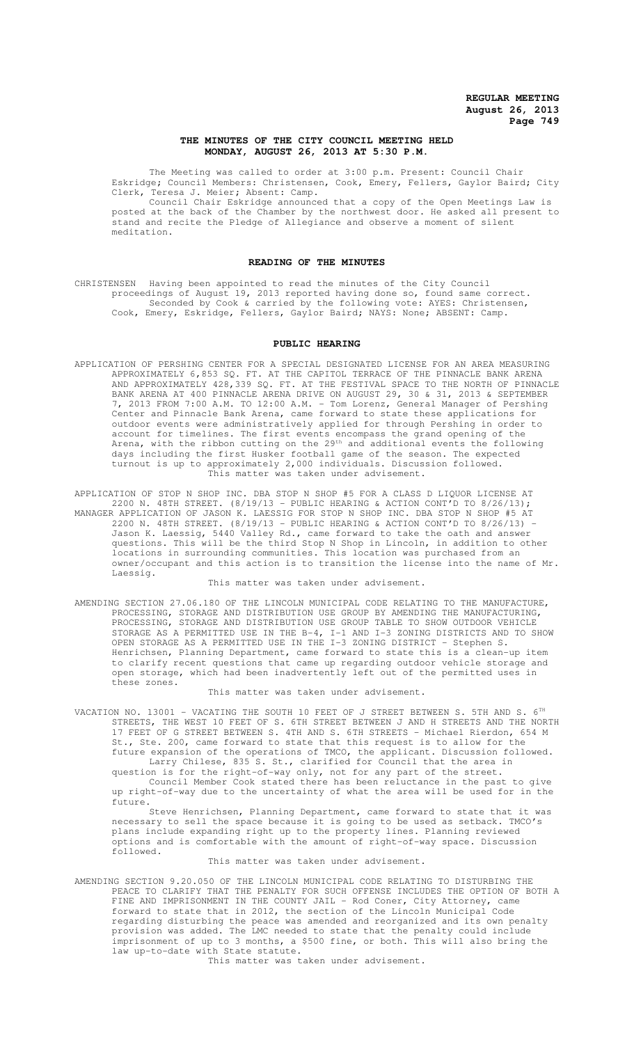## **THE MINUTES OF THE CITY COUNCIL MEETING HELD MONDAY, AUGUST 26, 2013 AT 5:30 P.M.**

The Meeting was called to order at 3:00 p.m. Present: Council Chair Eskridge; Council Members: Christensen, Cook, Emery, Fellers, Gaylor Baird; City Clerk, Teresa J. Meier; Absent: Camp.

Council Chair Eskridge announced that a copy of the Open Meetings Law is posted at the back of the Chamber by the northwest door. He asked all present to stand and recite the Pledge of Allegiance and observe a moment of silent meditation.

## **READING OF THE MINUTES**

CHRISTENSEN Having been appointed to read the minutes of the City Council proceedings of August 19, 2013 reported having done so, found same correct. Seconded by Cook & carried by the following vote: AYES: Christensen, Cook, Emery, Eskridge, Fellers, Gaylor Baird; NAYS: None; ABSENT: Camp.

#### **PUBLIC HEARING**

APPLICATION OF PERSHING CENTER FOR A SPECIAL DESIGNATED LICENSE FOR AN AREA MEASURING APPROXIMATELY 6,853 SQ. FT. AT THE CAPITOL TERRACE OF THE PINNACLE BANK ARENA AND APPROXIMATELY 428,339 SQ. FT. AT THE FESTIVAL SPACE TO THE NORTH OF PINNACLE BANK ARENA AT 400 PINNACLE ARENA DRIVE ON AUGUST 29, 30 & 31, 2013 & SEPTEMBER 7, 2013 FROM 7:00 A.M. TO 12:00 A.M. - Tom Lorenz, General Manager of Pershing Center and Pinnacle Bank Arena, came forward to state these applications for outdoor events were administratively applied for through Pershing in order to account for timelines. The first events encompass the grand opening of the Arena, with the ribbon cutting on the 29<sup>th</sup> and additional events the following days including the first Husker football game of the season. The expected turnout is up to approximately 2,000 individuals. Discussion followed. This matter was taken under advisement.

APPLICATION OF STOP N SHOP INC. DBA STOP N SHOP #5 FOR A CLASS D LIQUOR LICENSE AT 2200 N. 48TH STREET. (8/19/13 - PUBLIC HEARING & ACTION CONT'D TO 8/26/13); MANAGER APPLICATION OF JASON K. LAESSIG FOR STOP N SHOP INC. DBA STOP N SHOP #5 AT 2200 N. 48TH STREET. (8/19/13 - PUBLIC HEARING & ACTION CONT'D TO 8/26/13) - Jason K. Laessig, 5440 Valley Rd., came forward to take the oath and answer questions. This will be the third Stop N Shop in Lincoln, in addition to other locations in surrounding communities. This location was purchased from an owner/occupant and this action is to transition the license into the name of Mr. Laessig.

#### This matter was taken under advisement.

AMENDING SECTION 27.06.180 OF THE LINCOLN MUNICIPAL CODE RELATING TO THE MANUFACTURE, PROCESSING, STORAGE AND DISTRIBUTION USE GROUP BY AMENDING THE MANUFACTURING, PROCESSING, STORAGE AND DISTRIBUTION USE GROUP TABLE TO SHOW OUTDOOR VEHICLE STORAGE AS A PERMITTED USE IN THE B-4, I-1 AND I-3 ZONING DISTRICTS AND TO SHOW OPEN STORAGE AS A PERMITTED USE IN THE I-3 ZONING DISTRICT - Stephen S. Henrichsen, Planning Department, came forward to state this is a clean-up item to clarify recent questions that came up regarding outdoor vehicle storage and open storage, which had been inadvertently left out of the permitted uses in these zones.

This matter was taken under advisement.

VACATION NO. 13001 – VACATING THE SOUTH 10 FEET OF J STREET BETWEEN S. 5TH AND S.  $6^\text{\tiny{TH}}$ STREETS, THE WEST 10 FEET OF S. 6TH STREET BETWEEN J AND H STREETS AND THE NORTH 17 FEET OF G STREET BETWEEN S. 4TH AND S. 6TH STREETS - Michael Rierdon, 654 M St., Ste. 200, came forward to state that this request is to allow for the future expansion of the operations of TMCO, the applicant. Discussion followed. Larry Chilese, 835 S. St., clarified for Council that the area in question is for the right-of-way only, not for any part of the street. Council Member Cook stated there has been reluctance in the past to give up right-of-way due to the uncertainty of what the area will be used for in the future.

Steve Henrichsen, Planning Department, came forward to state that it was necessary to sell the space because it is going to be used as setback. TMCO's plans include expanding right up to the property lines. Planning reviewed options and is comfortable with the amount of right-of-way space. Discussion followed.

#### This matter was taken under advisement.

AMENDING SECTION 9.20.050 OF THE LINCOLN MUNICIPAL CODE RELATING TO DISTURBING THE PEACE TO CLARIFY THAT THE PENALTY FOR SUCH OFFENSE INCLUDES THE OPTION OF BOTH A FINE AND IMPRISONMENT IN THE COUNTY JAIL - Rod Coner, City Attorney, came forward to state that in 2012, the section of the Lincoln Municipal Code regarding disturbing the peace was amended and reorganized and its own penalty provision was added. The LMC needed to state that the penalty could include imprisonment of up to 3 months, a \$500 fine, or both. This will also bring the law up-to-date with State statute.

This matter was taken under advisement.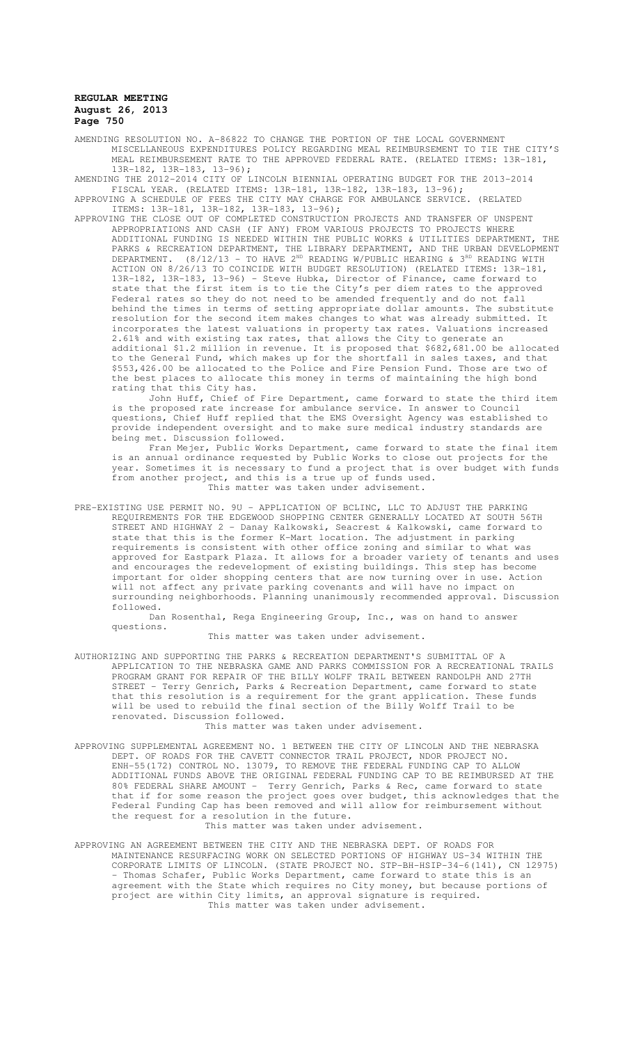AMENDING RESOLUTION NO. A-86822 TO CHANGE THE PORTION OF THE LOCAL GOVERNMENT MISCELLANEOUS EXPENDITURES POLICY REGARDING MEAL REIMBURSEMENT TO TIE THE CITY'S MEAL REIMBURSEMENT RATE TO THE APPROVED FEDERAL RATE. (RELATED ITEMS: 13R-181, 13R-182, 13R-183, 13-96);

AMENDING THE 2012-2014 CITY OF LINCOLN BIENNIAL OPERATING BUDGET FOR THE 2013-2014 FISCAL YEAR. (RELATED ITEMS: 13R-181, 13R-182, 13R-183, 13-96);

APPROVING A SCHEDULE OF FEES THE CITY MAY CHARGE FOR AMBULANCE SERVICE. (RELATED ITEMS: 13R-181, 13R-182, 13R-183, 13-96); APPROVING THE CLOSE OUT OF COMPLETED CONSTRUCTION PROJECTS AND TRANSFER OF UNSPENT

APPROPRIATIONS AND CASH (IF ANY) FROM VARIOUS PROJECTS TO PROJECTS WHERE ADDITIONAL FUNDING IS NEEDED WITHIN THE PUBLIC WORKS & UTILITIES DEPARTMENT, THE PARKS & RECREATION DEPARTMENT, THE LIBRARY DEPARTMENT, AND THE URBAN DEVELOPMENT DEPARTMENT. (8/12/13 - TO HAVE  $2^{ND}$  READING W/PUBLIC HEARING &  $3^{RD}$  READING WITH ACTION ON 8/26/13 TO COINCIDE WITH BUDGET RESOLUTION) (RELATED ITEMS: 13R-181, 13R-182, 13R-183, 13-96) - Steve Hubka, Director of Finance, came forward to state that the first item is to tie the City's per diem rates to the approved Federal rates so they do not need to be amended frequently and do not fall behind the times in terms of setting appropriate dollar amounts. The substitute resolution for the second item makes changes to what was already submitted. It incorporates the latest valuations in property tax rates. Valuations increased 2.61% and with existing tax rates, that allows the City to generate an additional \$1.2 million in revenue. It is proposed that \$682,681.00 be allocated to the General Fund, which makes up for the shortfall in sales taxes, and that \$553,426.00 be allocated to the Police and Fire Pension Fund. Those are two of the best places to allocate this money in terms of maintaining the high bond rating that this City has.

John Huff, Chief of Fire Department, came forward to state the third item is the proposed rate increase for ambulance service. In answer to Council questions, Chief Huff replied that the EMS Oversight Agency was established to provide independent oversight and to make sure medical industry standards are being met. Discussion followed.

Fran Mejer, Public Works Department, came forward to state the final item is an annual ordinance requested by Public Works to close out projects for the year. Sometimes it is necessary to fund a project that is over budget with funds from another project, and this is a true up of funds used. This matter was taken under advisement.

PRE-EXISTING USE PERMIT NO. 9U – APPLICATION OF BCLINC, LLC TO ADJUST THE PARKING REQUIREMENTS FOR THE EDGEWOOD SHOPPING CENTER GENERALLY LOCATED AT SOUTH 56TH STREET AND HIGHWAY 2 - Danay Kalkowski, Seacrest & Kalkowski, came forward to state that this is the former K-Mart location. The adjustment in parking requirements is consistent with other office zoning and similar to what was approved for Eastpark Plaza. It allows for a broader variety of tenants and uses and encourages the redevelopment of existing buildings. This step has become important for older shopping centers that are now turning over in use. Action will not affect any private parking covenants and will have no impact on surrounding neighborhoods. Planning unanimously recommended approval. Discussion followed.

Dan Rosenthal, Rega Engineering Group, Inc., was on hand to answer questions.

This matter was taken under advisement.

AUTHORIZING AND SUPPORTING THE PARKS & RECREATION DEPARTMENT'S SUBMITTAL OF A APPLICATION TO THE NEBRASKA GAME AND PARKS COMMISSION FOR A RECREATIONAL TRAILS PROGRAM GRANT FOR REPAIR OF THE BILLY WOLFF TRAIL BETWEEN RANDOLPH AND 27TH STREET - Terry Genrich, Parks & Recreation Department, came forward to state that this resolution is a requirement for the grant application. These funds will be used to rebuild the final section of the Billy Wolff Trail to be renovated. Discussion followed.

This matter was taken under advisement.

APPROVING SUPPLEMENTAL AGREEMENT NO. 1 BETWEEN THE CITY OF LINCOLN AND THE NEBRASKA DEPT. OF ROADS FOR THE CAVETT CONNECTOR TRAIL PROJECT, NDOR PROJECT NO. ENH-55(172) CONTROL NO. 13079, TO REMOVE THE FEDERAL FUNDING CAP TO ALLOW ADDITIONAL FUNDS ABOVE THE ORIGINAL FEDERAL FUNDING CAP TO BE REIMBURSED AT THE 80% FEDERAL SHARE AMOUNT - Terry Genrich, Parks & Rec, came forward to state Terry Genrich, Parks & Rec, came forward to state that if for some reason the project goes over budget, this acknowledges that the Federal Funding Cap has been removed and will allow for reimbursement without the request for a resolution in the future. This matter was taken under advisement.

APPROVING AN AGREEMENT BETWEEN THE CITY AND THE NEBRASKA DEPT. OF ROADS FOR MAINTENANCE RESURFACING WORK ON SELECTED PORTIONS OF HIGHWAY US-34 WITHIN THE CORPORATE LIMITS OF LINCOLN. (STATE PROJECT NO. STP-BH-HSIP-34-6(141), CN 12975) - Thomas Schafer, Public Works Department, came forward to state this is an agreement with the State which requires no City money, but because portions of project are within City limits, an approval signature is required. This matter was taken under advisement.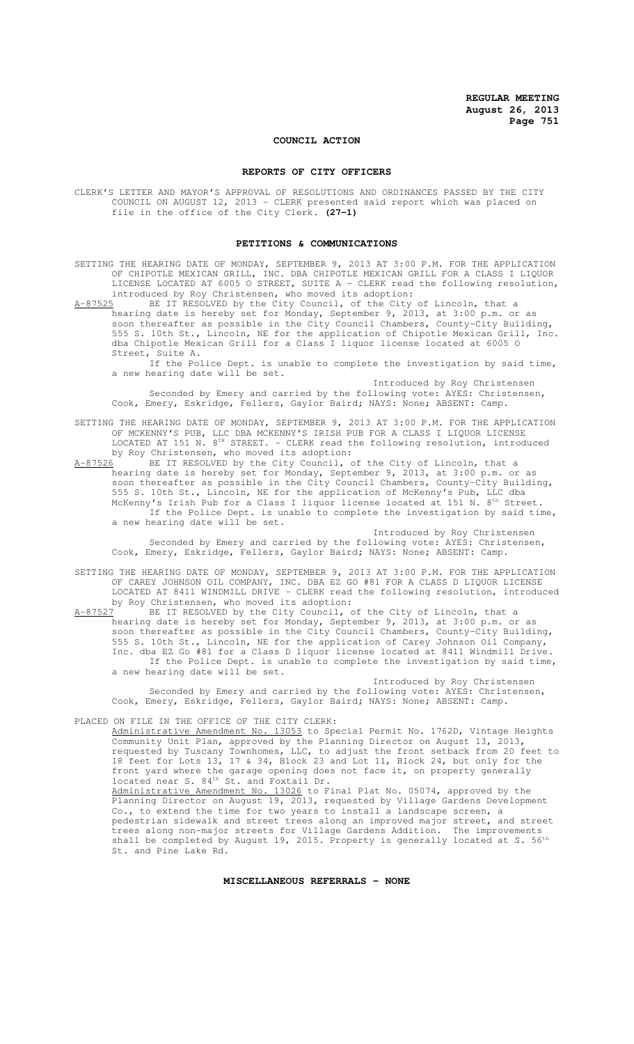# **COUNCIL ACTION**

## **REPORTS OF CITY OFFICERS**

CLERK'S LETTER AND MAYOR'S APPROVAL OF RESOLUTIONS AND ORDINANCES PASSED BY THE CITY COUNCIL ON AUGUST 12, 2013 - CLERK presented said report which was placed on file in the office of the City Clerk. **(27-1)**

#### **PETITIONS & COMMUNICATIONS**

- SETTING THE HEARING DATE OF MONDAY, SEPTEMBER 9, 2013 AT 3:00 P.M. FOR THE APPLICATION OF CHIPOTLE MEXICAN GRILL, INC. DBA CHIPOTLE MEXICAN GRILL FOR A CLASS I LIQUOR LICENSE LOCATED AT 6005 O STREET, SUITE A - CLERK read the following resolution, introduced by Roy Christensen, who moved its adoption:
- A-87525 BE IT RESOLVED by the City Council, of the City of Lincoln, that a hearing date is hereby set for Monday, September 9, 2013, at 3:00 p.m. or as soon thereafter as possible in the City Council Chambers, County-City Building, 555 S. 10th St., Lincoln, NE for the application of Chipotle Mexican Grill, Inc. dba Chipotle Mexican Grill for a Class I liquor license located at 6005 O Street, Suite A.
	- If the Police Dept. is unable to complete the investigation by said time, a new hearing date will be set.
	- Introduced by Roy Christensen Seconded by Emery and carried by the following vote: AYES: Christensen, Cook, Emery, Eskridge, Fellers, Gaylor Baird; NAYS: None; ABSENT: Camp.
- SETTING THE HEARING DATE OF MONDAY, SEPTEMBER 9, 2013 AT 3:00 P.M. FOR THE APPLICATION OF MCKENNY'S PUB, LLC DBA MCKENNY'S IRISH PUB FOR A CLASS I LIQUOR LICENSE LOCATED AT 151 N. 8<sup>TH</sup> STREET. - CLERK read the following resolution, introduced by Roy Christensen, who moved its adoption:
- A-87526 BE IT RESOLVED by the City Council, of the City of Lincoln, that a hearing date is hereby set for Monday, September 9, 2013, at 3:00 p.m. or as soon thereafter as possible in the City Council Chambers, County-City Building, 555 S. 10th St., Lincoln, NE for the application of McKenny's Pub, LLC dba McKenny's Irish Pub for a Class I liquor license located at 151 N. 8<sup>th</sup> Street. If the Police Dept. is unable to complete the investigation by said time, a new hearing date will be set.
	- Introduced by Roy Christensen Seconded by Emery and carried by the following vote: AYES: Christensen, Cook, Emery, Eskridge, Fellers, Gaylor Baird; NAYS: None; ABSENT: Camp.
- SETTING THE HEARING DATE OF MONDAY, SEPTEMBER 9, 2013 AT 3:00 P.M. FOR THE APPLICATION OF CAREY JOHNSON OIL COMPANY, INC. DBA EZ GO #81 FOR A CLASS D LIQUOR LICENSE LOCATED AT 8411 WINDMILL DRIVE - CLERK read the following resolution, introduced by Roy Christensen, who moved its adoption:<br>A-87527 BE IT RESOLVED by the City Council, o
- BE IT RESOLVED by the City Council, of the City of Lincoln, that a hearing date is hereby set for Monday, September 9, 2013, at 3:00 p.m. or as soon thereafter as possible in the City Council Chambers, County-City Building, 555 S. 10th St., Lincoln, NE for the application of Carey Johnson Oil Company, Inc. dba EZ Go #81 for a Class D liquor license located at 8411 Windmill Drive. If the Police Dept. is unable to complete the investigation by said time, a new hearing date will be set.
	- Introduced by Roy Christensen Seconded by Emery and carried by the following vote: AYES: Christensen, Cook, Emery, Eskridge, Fellers, Gaylor Baird; NAYS: None; ABSENT: Camp.
- PLACED ON FILE IN THE OFFICE OF THE CITY CLERK:

Administrative Amendment No. 13053 to Special Permit No. 1762D, Vintage Heights Community Unit Plan, approved by the Planning Director on August 13, 2013, requested by Tuscany Townhomes, LLC, to adjust the front setback from 20 feet to 18 feet for Lots 13, 17 & 34, Block 23 and Lot 11, Block 24, but only for the front yard where the garage opening does not face it, on property generally located near S. 84<sup>th</sup> St. and Foxtail Dr. Administrative Amendment No. 13026 to Final Plat No. 05074, approved by the Planning Director on August 19, 2013, requested by Village Gardens Development Co., to extend the time for two years to install a landscape screen, a pedestrian sidewalk and street trees along an improved major street, and street trees along non-major streets for Village Gardens Addition. The improvements shall be completed by August 19, 2015. Property is generally located at S.  $56<sup>th</sup>$ St. and Pine Lake Rd.

# **MISCELLANEOUS REFERRALS - NONE**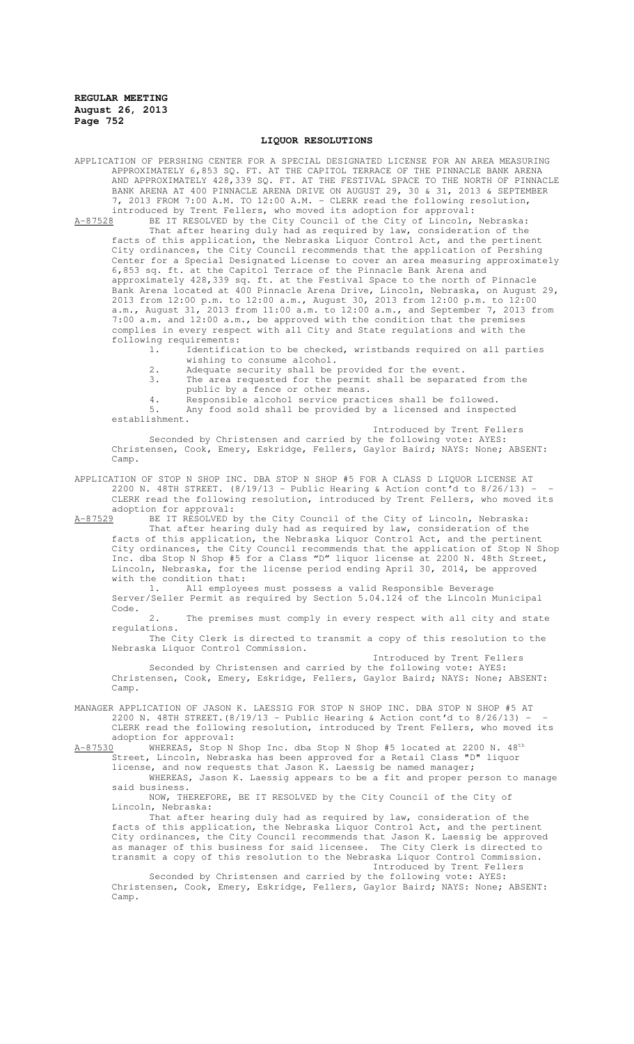## **LIQUOR RESOLUTIONS**

APPLICATION OF PERSHING CENTER FOR A SPECIAL DESIGNATED LICENSE FOR AN AREA MEASURING APPROXIMATELY 6,853 SQ. FT. AT THE CAPITOL TERRACE OF THE PINNACLE BANK ARENA AND APPROXIMATELY 428,339 SQ. FT. AT THE FESTIVAL SPACE TO THE NORTH OF PINNACLE BANK ARENA AT 400 PINNACLE ARENA DRIVE ON AUGUST 29, 30 & 31, 2013 & SEPTEMBER 7, 2013 FROM 7:00 A.M. TO 12:00 A.M. - CLERK read the following resolution, introduced by Trent Fellers, who moved its adoption for approval:

A-87528 BE IT RESOLVED by the City Council of the City of Lincoln, Nebraska: That after hearing duly had as required by law, consideration of the facts of this application, the Nebraska Liquor Control Act, and the pertinent City ordinances, the City Council recommends that the application of Pershing Center for a Special Designated License to cover an area measuring approximately 6,853 sq. ft. at the Capitol Terrace of the Pinnacle Bank Arena and approximately 428,339 sq. ft. at the Festival Space to the north of Pinnacle Bank Arena located at 400 Pinnacle Arena Drive, Lincoln, Nebraska, on August 29, 2013 from 12:00 p.m. to 12:00 a.m., August 30, 2013 from 12:00 p.m. to 12:00 a.m., August 31, 2013 from 11:00 a.m. to 12:00 a.m., and September 7, 2013 from 7:00 a.m. and 12:00 a.m., be approved with the condition that the premises complies in every respect with all City and State regulations and with the following requirements:<br>1. Identifica

Identification to be checked, wristbands required on all parties wishing to consume alcohol.

- 2. Adequate security shall be provided for the event.
- 3. The area requested for the permit shall be separated from the public by a fence or other means.
- 4. Responsible alcohol service practices shall be followed.<br>5. Any food sold shall be provided by a licensed and inspec-

Any food sold shall be provided by a licensed and inspected establishment. Introduced by Trent Fellers

Seconded by Christensen and carried by the following vote: AYES: Christensen, Cook, Emery, Eskridge, Fellers, Gaylor Baird; NAYS: None; ABSENT: Camp.

APPLICATION OF STOP N SHOP INC. DBA STOP N SHOP #5 FOR A CLASS D LIQUOR LICENSE AT 2200 N. 48TH STREET. (8/19/13 - Public Hearing & Action cont'd to 8/26/13) - - CLERK read the following resolution, introduced by Trent Fellers, who moved its adoption for approval:<br>A-87529 BE IT RESOLVED B

BE IT RESOLVED by the City Council of the City of Lincoln, Nebraska:

That after hearing duly had as required by law, consideration of the facts of this application, the Nebraska Liquor Control Act, and the pertinent City ordinances, the City Council recommends that the application of Stop N Shop Inc. dba Stop N Shop #5 for a Class "D" liquor license at 2200 N. 48th Street, Lincoln, Nebraska, for the license period ending April 30, 2014, be approved with the condition that:

1. All employees must possess a valid Responsible Beverage Server/Seller Permit as required by Section 5.04.124 of the Lincoln Municipal Code.

2. The premises must comply in every respect with all city and state regulations.

The City Clerk is directed to transmit a copy of this resolution to the Nebraska Liquor Control Commission.

Introduced by Trent Fellers

Seconded by Christensen and carried by the following vote: AYES: Christensen, Cook, Emery, Eskridge, Fellers, Gaylor Baird; NAYS: None; ABSENT: Camp.

MANAGER APPLICATION OF JASON K. LAESSIG FOR STOP N SHOP INC. DBA STOP N SHOP #5 AT 2200 N. 48TH STREET.(8/19/13 - Public Hearing & Action cont'd to 8/26/13) - - CLERK read the following resolution, introduced by Trent Fellers, who moved its

adoption for approval:<br>A-87530 WHEREAS, Stop N WHEREAS, Stop N Shop Inc. dba Stop N Shop #5 located at 2200 N. 48th Street, Lincoln, Nebraska has been approved for a Retail Class "D" liquor

license, and now requests that Jason K. Laessig be named manager;

WHEREAS, Jason K. Laessig appears to be a fit and proper person to manage said business.

NOW, THEREFORE, BE IT RESOLVED by the City Council of the City of Lincoln, Nebraska:

That after hearing duly had as required by law, consideration of the facts of this application, the Nebraska Liquor Control Act, and the pertinent City ordinances, the City Council recommends that Jason K. Laessig be approved as manager of this business for said licensee. The City Clerk is directed to transmit a copy of this resolution to the Nebraska Liquor Control Commission. Introduced by Trent Fellers

Seconded by Christensen and carried by the following vote: AYES: Christensen, Cook, Emery, Eskridge, Fellers, Gaylor Baird; NAYS: None; ABSENT: Camp.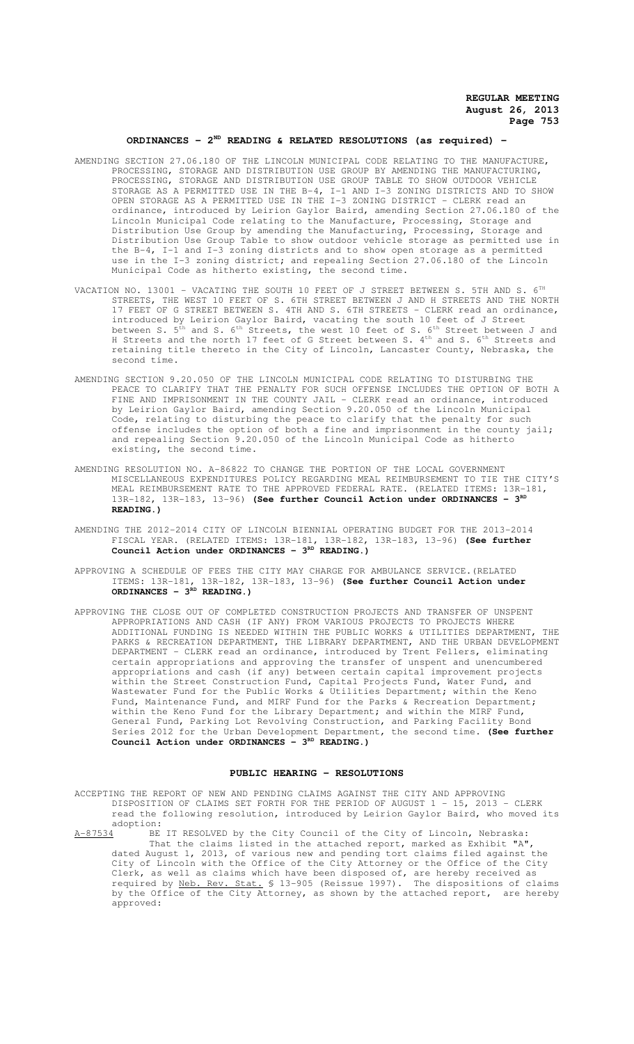# **ORDINANCES - 2ND READING & RELATED RESOLUTIONS (as required) -**

- AMENDING SECTION 27.06.180 OF THE LINCOLN MUNICIPAL CODE RELATING TO THE MANUFACTURE, PROCESSING, STORAGE AND DISTRIBUTION USE GROUP BY AMENDING THE MANUFACTURING, PROCESSING, STORAGE AND DISTRIBUTION USE GROUP TABLE TO SHOW OUTDOOR VEHICLE STORAGE AS A PERMITTED USE IN THE B-4, I-1 AND I-3 ZONING DISTRICTS AND TO SHOW OPEN STORAGE AS A PERMITTED USE IN THE I-3 ZONING DISTRICT - CLERK read an ordinance, introduced by Leirion Gaylor Baird, amending Section 27.06.180 of the Lincoln Municipal Code relating to the Manufacture, Processing, Storage and Distribution Use Group by amending the Manufacturing, Processing, Storage and Distribution Use Group Table to show outdoor vehicle storage as permitted use in the B-4, I-1 and I-3 zoning districts and to show open storage as a permitted use in the I-3 zoning district; and repealing Section 27.06.180 of the Lincoln Municipal Code as hitherto existing, the second time.
- VACATION NO. 13001 VACATING THE SOUTH 10 FEET OF J STREET BETWEEN S. 5TH AND S. 6<sup>TH</sup> STREETS, THE WEST 10 FEET OF S. 6TH STREET BETWEEN J AND H STREETS AND THE NORTH 17 FEET OF G STREET BETWEEN S. 4TH AND S. 6TH STREETS - CLERK read an ordinance, introduced by Leirion Gaylor Baird, vacating the south 10 feet of J Street between S.  $5^{\text{th}}$  and S.  $6^{\text{th}}$  Streets, the west 10 feet of S.  $6^{\text{th}}$  Street between J and H Streets and the north 17 feet of G Street between S. 4<sup>th</sup> and S. 6<sup>th</sup> Streets and retaining title thereto in the City of Lincoln, Lancaster County, Nebraska, the second time.
- AMENDING SECTION 9.20.050 OF THE LINCOLN MUNICIPAL CODE RELATING TO DISTURBING THE PEACE TO CLARIFY THAT THE PENALTY FOR SUCH OFFENSE INCLUDES THE OPTION OF BOTH A FINE AND IMPRISONMENT IN THE COUNTY JAIL - CLERK read an ordinance, introduced by Leirion Gaylor Baird, amending Section 9.20.050 of the Lincoln Municipal Code, relating to disturbing the peace to clarify that the penalty for such offense includes the option of both a fine and imprisonment in the county jail; and repealing Section 9.20.050 of the Lincoln Municipal Code as hitherto existing, the second time.
- AMENDING RESOLUTION NO. A-86822 TO CHANGE THE PORTION OF THE LOCAL GOVERNMENT MISCELLANEOUS EXPENDITURES POLICY REGARDING MEAL REIMBURSEMENT TO TIE THE CITY'S MEAL REIMBURSEMENT RATE TO THE APPROVED FEDERAL RATE. (RELATED ITEMS: 13R-181, 13R-182, 13R-183, 13-96) (See further Council Action under ORDINANCES - 3<sup>RD</sup> **READING.)**
- AMENDING THE 2012-2014 CITY OF LINCOLN BIENNIAL OPERATING BUDGET FOR THE 2013-2014 FISCAL YEAR. (RELATED ITEMS: 13R-181, 13R-182, 13R-183, 13-96) **(See further** Council Action under ORDINANCES - 3<sup>RD</sup> READING.)
- APPROVING A SCHEDULE OF FEES THE CITY MAY CHARGE FOR AMBULANCE SERVICE.(RELATED ITEMS: 13R-181, 13R-182, 13R-183, 13-96) **(See further Council Action under ORDINANCES - 3RD READING.)**
- APPROVING THE CLOSE OUT OF COMPLETED CONSTRUCTION PROJECTS AND TRANSFER OF UNSPENT APPROPRIATIONS AND CASH (IF ANY) FROM VARIOUS PROJECTS TO PROJECTS WHERE ADDITIONAL FUNDING IS NEEDED WITHIN THE PUBLIC WORKS & UTILITIES DEPARTMENT, THE PARKS & RECREATION DEPARTMENT, THE LIBRARY DEPARTMENT, AND THE URBAN DEVELOPMENT DEPARTMENT - CLERK read an ordinance, introduced by Trent Fellers, eliminating certain appropriations and approving the transfer of unspent and unencumbered appropriations and cash (if any) between certain capital improvement projects within the Street Construction Fund, Capital Projects Fund, Water Fund, and Wastewater Fund for the Public Works & Utilities Department; within the Keno Fund, Maintenance Fund, and MIRF Fund for the Parks & Recreation Department; within the Keno Fund for the Library Department; and within the MIRF Fund, General Fund, Parking Lot Revolving Construction, and Parking Facility Bond Series 2012 for the Urban Development Department, the second time. **(See further** Council Action under ORDINANCES - 3<sup>RD</sup> READING.)

### **PUBLIC HEARING - RESOLUTIONS**

ACCEPTING THE REPORT OF NEW AND PENDING CLAIMS AGAINST THE CITY AND APPROVING DISPOSITION OF CLAIMS SET FORTH FOR THE PERIOD OF AUGUST 1 - 15, 2013 - CLERK read the following resolution, introduced by Leirion Gaylor Baird, who moved its adoption:

A-87534 BE IT RESOLVED by the City Council of the City of Lincoln, Nebraska: That the claims listed in the attached report, marked as Exhibit "A", dated August 1, 2013, of various new and pending tort claims filed against the City of Lincoln with the Office of the City Attorney or the Office of the City Clerk, as well as claims which have been disposed of, are hereby received as required by Neb. Rev. Stat. § 13-905 (Reissue 1997). The dispositions of claims by the Office of the City Attorney, as shown by the attached report, are hereby approved: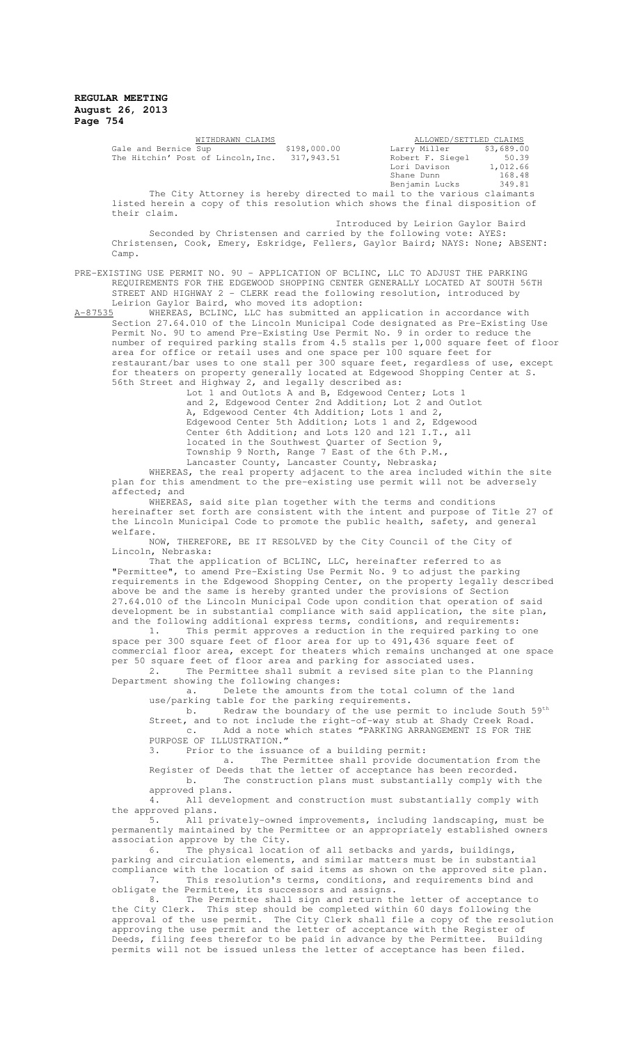| WITHDRAWN CLAIMS                                                      |              |  |                  | ALLOWED/SETTLED CLAIMS  |
|-----------------------------------------------------------------------|--------------|--|------------------|-------------------------|
| Gale and Bernice Sup                                                  | \$198,000.00 |  |                  | Larry Miller \$3,689.00 |
| The Hitchin' Post of Lincoln, Inc.                                    | 317,943.51   |  | Robert F. Siegel | 50.39                   |
|                                                                       |              |  | Lori Davison     | 1,012.66                |
|                                                                       |              |  | Shane Dunn       | 168.48                  |
|                                                                       |              |  | Benjamin Lucks   | 349.81                  |
| The City Attorney is hereby directed to mail to the various claimants |              |  |                  |                         |

listed herein a copy of this resolution which shows the final disposition of their claim.

Introduced by Leirion Gaylor Baird Seconded by Christensen and carried by the following vote: AYES: Christensen, Cook, Emery, Eskridge, Fellers, Gaylor Baird; NAYS: None; ABSENT: Camp.

PRE-EXISTING USE PERMIT NO. 9U – APPLICATION OF BCLINC, LLC TO ADJUST THE PARKING REQUIREMENTS FOR THE EDGEWOOD SHOPPING CENTER GENERALLY LOCATED AT SOUTH 56TH STREET AND HIGHWAY 2 - CLERK read the following resolution, introduced by Leirion Gaylor Baird, who moved its adoption:<br>A-87535 WHEREAS, BCLINC, LLC has submitted an a

BCLINC, LLC has submitted an application in accordance with Section 27.64.010 of the Lincoln Municipal Code designated as Pre-Existing Use Permit No. 9U to amend Pre-Existing Use Permit No. 9 in order to reduce the number of required parking stalls from 4.5 stalls per 1,000 square feet of floor area for office or retail uses and one space per 100 square feet for restaurant/bar uses to one stall per 300 square feet, regardless of use, except for theaters on property generally located at Edgewood Shopping Center at S. 56th Street and Highway 2, and legally described as:

Lot 1 and Outlots A and B, Edgewood Center; Lots 1 and 2, Edgewood Center 2nd Addition; Lot 2 and Outlot A, Edgewood Center 4th Addition; Lots 1 and 2, Edgewood Center 5th Addition; Lots 1 and 2, Edgewood Center 6th Addition; and Lots 120 and 121 I.T., all located in the Southwest Quarter of Section 9, Township 9 North, Range 7 East of the 6th P.M., Lancaster County, Lancaster County, Nebraska;

WHEREAS, the real property adjacent to the area included within the site plan for this amendment to the pre-existing use permit will not be adversely affected; and

WHEREAS, said site plan together with the terms and conditions hereinafter set forth are consistent with the intent and purpose of Title 27 of the Lincoln Municipal Code to promote the public health, safety, and general welfare.

NOW, THEREFORE, BE IT RESOLVED by the City Council of the City of Lincoln, Nebraska:

That the application of BCLINC, LLC, hereinafter referred to as "Permittee", to amend Pre-Existing Use Permit No. 9 to adjust the parking requirements in the Edgewood Shopping Center, on the property legally described above be and the same is hereby granted under the provisions of Section 27.64.010 of the Lincoln Municipal Code upon condition that operation of said development be in substantial compliance with said application, the site plan, and the following additional express terms, conditions, and requirements:

1. This permit approves a reduction in the required parking to one space per 300 square feet of floor area for up to 491,436 square feet of commercial floor area, except for theaters which remains unchanged at one space per 50 square feet of floor area and parking for associated uses.

2. The Permittee shall submit a revised site plan to the Planning Department showing the following changes:

a. Delete the amounts from the total column of the land use/parking table for the parking requirements.

b. Redraw the boundary of the use permit to include South 59<sup>th</sup> Street, and to not include the right-of-way stub at Shady Creek Road. c. Add a note which states "PARKING ARRANGEMENT IS FOR THE PURPOSE OF ILLUSTRATION."

3. Prior to the issuance of a building permit:

a. The Permittee shall provide documentation from the Register of Deeds that the letter of acceptance has been recorded. b. The construction plans must substantially comply with the

approved plans.<br>4. All devel All development and construction must substantially comply with the approved plans.

5. All privately-owned improvements, including landscaping, must be permanently maintained by the Permittee or an appropriately established owners association approve by the City.

6. The physical location of all setbacks and yards, buildings, parking and circulation elements, and similar matters must be in substantial compliance with the location of said items as shown on the approved site plan. 7. This resolution's terms, conditions, and requirements bind and obligate the Permittee, its successors and assigns.

8. The Permittee shall sign and return the letter of acceptance to the City Clerk. This step should be completed within 60 days following the approval of the use permit. The City Clerk shall file a copy of the resolution approving the use permit and the letter of acceptance with the Register of Deeds, filing fees therefor to be paid in advance by the Permittee. Building permits will not be issued unless the letter of acceptance has been filed.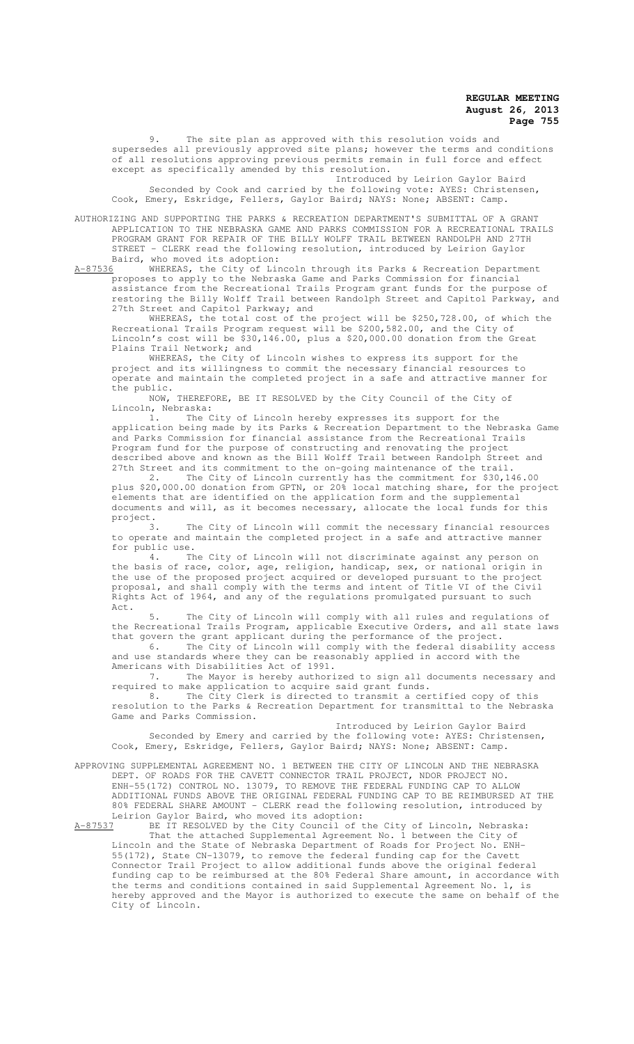9. The site plan as approved with this resolution voids and supersedes all previously approved site plans; however the terms and conditions of all resolutions approving previous permits remain in full force and effect except as specifically amended by this resolution.

Introduced by Leirion Gaylor Baird Seconded by Cook and carried by the following vote: AYES: Christensen, Cook, Emery, Eskridge, Fellers, Gaylor Baird; NAYS: None; ABSENT: Camp.

AUTHORIZING AND SUPPORTING THE PARKS & RECREATION DEPARTMENT'S SUBMITTAL OF A GRANT APPLICATION TO THE NEBRASKA GAME AND PARKS COMMISSION FOR A RECREATIONAL TRAILS PROGRAM GRANT FOR REPAIR OF THE BILLY WOLFF TRAIL BETWEEN RANDOLPH AND 27TH STREET - CLERK read the following resolution, introduced by Leirion Gaylor Baird, who moved its adoption:<br>A-87536 WHEREAS, the City of Lir

A-87536 WHEREAS, the City of Lincoln through its Parks & Recreation Department proposes to apply to the Nebraska Game and Parks Commission for financial assistance from the Recreational Trails Program grant funds for the purpose of restoring the Billy Wolff Trail between Randolph Street and Capitol Parkway, and 27th Street and Capitol Parkway; and

WHEREAS, the total cost of the project will be \$250,728.00, of which the Recreational Trails Program request will be \$200,582.00, and the City of Lincoln's cost will be \$30,146.00, plus a \$20,000.00 donation from the Great Plains Trail Network; and

WHEREAS, the City of Lincoln wishes to express its support for the project and its willingness to commit the necessary financial resources to operate and maintain the completed project in a safe and attractive manner for the public.

NOW, THEREFORE, BE IT RESOLVED by the City Council of the City of Lincoln, Nebraska:

1. The City of Lincoln hereby expresses its support for the application being made by its Parks & Recreation Department to the Nebraska Game and Parks Commission for financial assistance from the Recreational Trails Program fund for the purpose of constructing and renovating the project described above and known as the Bill Wolff Trail between Randolph Street and 27th Street and its commitment to the on-going maintenance of the trail.

2. The City of Lincoln currently has the commitment for \$30,146.00 plus \$20,000.00 donation from GPTN, or 20% local matching share, for the project elements that are identified on the application form and the supplemental documents and will, as it becomes necessary, allocate the local funds for this project.

3. The City of Lincoln will commit the necessary financial resources to operate and maintain the completed project in a safe and attractive manner for public use.

4. The City of Lincoln will not discriminate against any person on the basis of race, color, age, religion, handicap, sex, or national origin in the use of the proposed project acquired or developed pursuant to the project proposal, and shall comply with the terms and intent of Title VI of the Civil Rights Act of 1964, and any of the regulations promulgated pursuant to such Act.

5. The City of Lincoln will comply with all rules and regulations of the Recreational Trails Program, applicable Executive Orders, and all state laws that govern the grant applicant during the performance of the project.

6. The City of Lincoln will comply with the federal disability access and use standards where they can be reasonably applied in accord with the Americans with Disabilities Act of 1991.

7. The Mayor is hereby authorized to sign all documents necessary and required to make application to acquire said grant funds.

8. The City Clerk is directed to transmit a certified copy of this resolution to the Parks & Recreation Department for transmittal to the Nebraska Game and Parks Commission.

Introduced by Leirion Gaylor Baird Seconded by Emery and carried by the following vote: AYES: Christensen, Cook, Emery, Eskridge, Fellers, Gaylor Baird; NAYS: None; ABSENT: Camp.

APPROVING SUPPLEMENTAL AGREEMENT NO. 1 BETWEEN THE CITY OF LINCOLN AND THE NEBRASKA DEPT. OF ROADS FOR THE CAVETT CONNECTOR TRAIL PROJECT, NDOR PROJECT NO. ENH-55(172) CONTROL NO. 13079, TO REMOVE THE FEDERAL FUNDING CAP TO ALLOW ADDITIONAL FUNDS ABOVE THE ORIGINAL FEDERAL FUNDING CAP TO BE REIMBURSED AT THE 80% FEDERAL SHARE AMOUNT - CLERK read the following resolution, introduced by Leirion Gaylor Baird, who moved its adoption:

A-87537 BE IT RESOLVED by the City Council of the City of Lincoln, Nebraska: That the attached Supplemental Agreement No. 1 between the City of Lincoln and the State of Nebraska Department of Roads for Project No. ENH-55(172), State CN-13079, to remove the federal funding cap for the Cavett Connector Trail Project to allow additional funds above the original federal funding cap to be reimbursed at the 80% Federal Share amount, in accordance with the terms and conditions contained in said Supplemental Agreement No. 1, is hereby approved and the Mayor is authorized to execute the same on behalf of the City of Lincoln.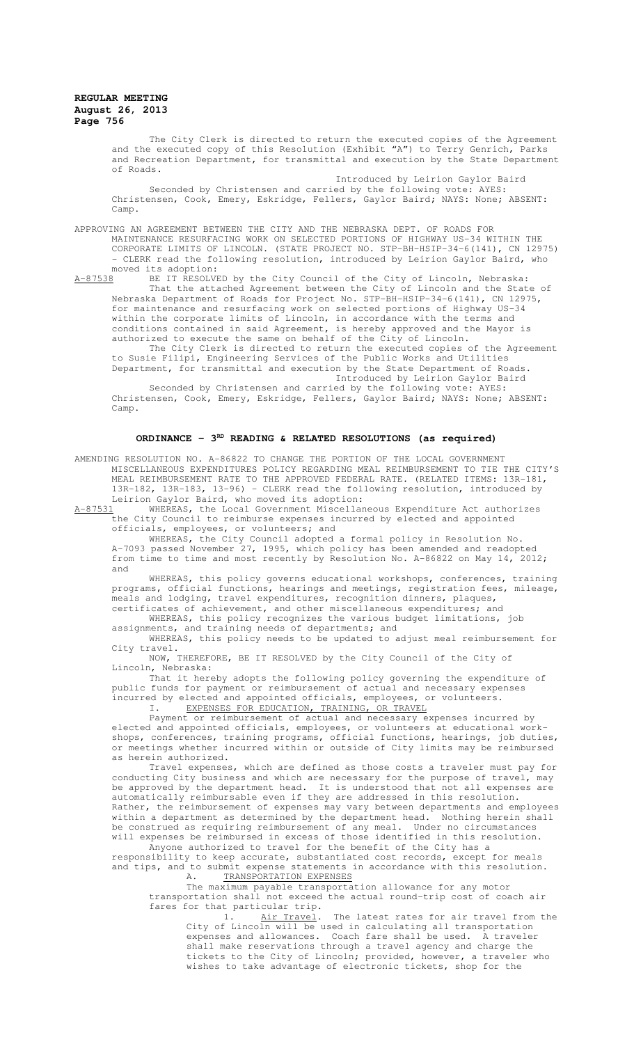The City Clerk is directed to return the executed copies of the Agreement and the executed copy of this Resolution (Exhibit "A") to Terry Genrich, Parks and Recreation Department, for transmittal and execution by the State Department of Roads.

Introduced by Leirion Gaylor Baird Seconded by Christensen and carried by the following vote: AYES: Christensen, Cook, Emery, Eskridge, Fellers, Gaylor Baird; NAYS: None; ABSENT: Camp.

APPROVING AN AGREEMENT BETWEEN THE CITY AND THE NEBRASKA DEPT. OF ROADS FOR MAINTENANCE RESURFACING WORK ON SELECTED PORTIONS OF HIGHWAY US-34 WITHIN THE CORPORATE LIMITS OF LINCOLN. (STATE PROJECT NO. STP-BH-HSIP-34-6(141), CN 12975) - CLERK read the following resolution, introduced by Leirion Gaylor Baird, who moved its adoption:<br><u>A-87538</u> BE IT RESOLVE

BE IT RESOLVED by the City Council of the City of Lincoln, Nebraska: That the attached Agreement between the City of Lincoln and the State of Nebraska Department of Roads for Project No. STP-BH-HSIP-34-6(141), CN 12975, for maintenance and resurfacing work on selected portions of Highway US-34 within the corporate limits of Lincoln, in accordance with the terms and conditions contained in said Agreement, is hereby approved and the Mayor is authorized to execute the same on behalf of the City of Lincoln. The City Clerk is directed to return the executed copies of the Agreement

to Susie Filipi, Engineering Services of the Public Works and Utilities Department, for transmittal and execution by the State Department of Roads.

Introduced by Leirion Gaylor Baird

Seconded by Christensen and carried by the following vote: AYES: Christensen, Cook, Emery, Eskridge, Fellers, Gaylor Baird; NAYS: None; ABSENT: Camp.

## ORDINANCE - 3<sup>RD</sup> READING & RELATED RESOLUTIONS (as required)

AMENDING RESOLUTION NO. A-86822 TO CHANGE THE PORTION OF THE LOCAL GOVERNMENT MISCELLANEOUS EXPENDITURES POLICY REGARDING MEAL REIMBURSEMENT TO TIE THE CITY'S MEAL REIMBURSEMENT RATE TO THE APPROVED FEDERAL RATE. (RELATED ITEMS: 13R-181, 13R-182, 13R-183, 13-96) - CLERK read the following resolution, introduced by Leirion Gaylor Baird, who moved its adoption:

A-87531 WHEREAS, the Local Government Miscellaneous Expenditure Act authorizes the City Council to reimburse expenses incurred by elected and appointed officials, employees, or volunteers; and

WHEREAS, the City Council adopted a formal policy in Resolution No. A-7093 passed November 27, 1995, which policy has been amended and readopted from time to time and most recently by Resolution No. A-86822 on May 14, 2012; and

WHEREAS, this policy governs educational workshops, conferences, training programs, official functions, hearings and meetings, registration fees, mileage, meals and lodging, travel expenditures, recognition dinners, plaques, certificates of achievement, and other miscellaneous expenditures; and

WHEREAS, this policy recognizes the various budget limitations, job assignments, and training needs of departments; and

WHEREAS, this policy needs to be updated to adjust meal reimbursement for City travel.

NOW, THEREFORE, BE IT RESOLVED by the City Council of the City of Lincoln, Nebraska:

That it hereby adopts the following policy governing the expenditure of public funds for payment or reimbursement of actual and necessary expenses incurred by elected and appointed officials, employees, or volunteers.

I. EXPENSES FOR EDUCATION, TRAINING, OR TRAVEL

Payment or reimbursement of actual and necessary expenses incurred by elected and appointed officials, employees, or volunteers at educational workshops, conferences, training programs, official functions, hearings, job duties, or meetings whether incurred within or outside of City limits may be reimbursed as herein authorized.

Travel expenses, which are defined as those costs a traveler must pay for conducting City business and which are necessary for the purpose of travel, may be approved by the department head. It is understood that not all expenses are automatically reimbursable even if they are addressed in this resolution. Rather, the reimbursement of expenses may vary between departments and employees within a department as determined by the department head. Nothing herein shall be construed as requiring reimbursement of any meal. Under no circumstances will expenses be reimbursed in excess of those identified in this resolution.

Anyone authorized to travel for the benefit of the City has a responsibility to keep accurate, substantiated cost records, except for meals and tips, and to submit expense statements in accordance with this resolution.

A. TRANSPORTATION EXPENSES

The maximum payable transportation allowance for any motor transportation shall not exceed the actual round-trip cost of coach air fares for that particular trip.

1. Air Travel. The latest rates for air travel from the City of Lincoln will be used in calculating all transportation expenses and allowances. Coach fare shall be used. A traveler shall make reservations through a travel agency and charge the tickets to the City of Lincoln; provided, however, a traveler who wishes to take advantage of electronic tickets, shop for the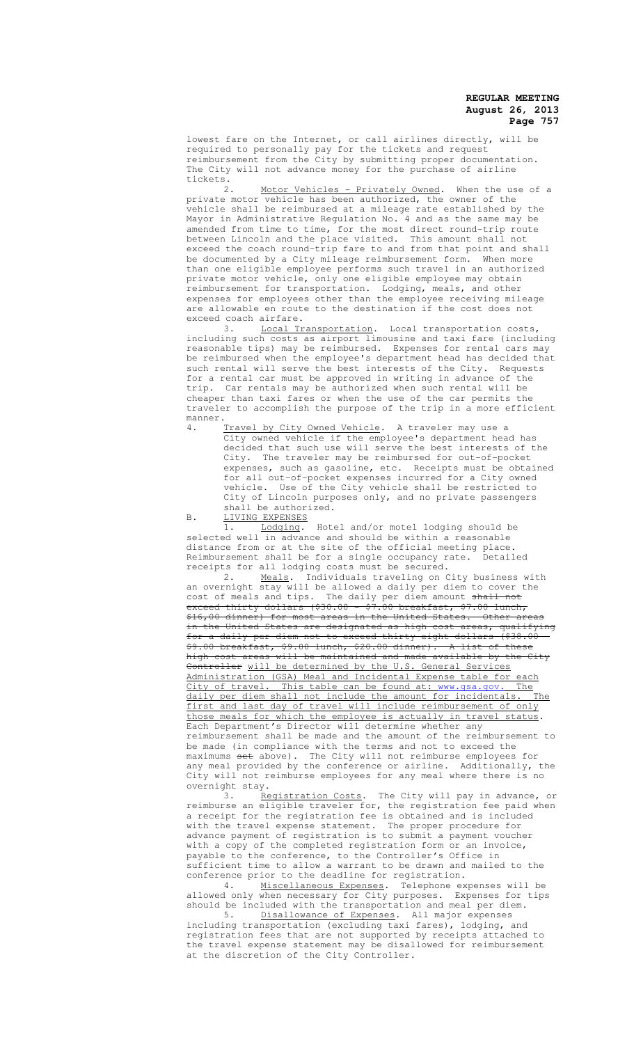lowest fare on the Internet, or call airlines directly, will be required to personally pay for the tickets and request reimbursement from the City by submitting proper documentation. The City will not advance money for the purchase of airline tickets.

2. Motor Vehicles - Privately Owned. When the use of a private motor vehicle has been authorized, the owner of the .<br>vehicle shall be reimbursed at a mileage rate established by the Mayor in Administrative Regulation No. 4 and as the same may be amended from time to time, for the most direct round-trip route between Lincoln and the place visited. This amount shall not exceed the coach round-trip fare to and from that point and shall be documented by a City mileage reimbursement form. When more than one eligible employee performs such travel in an authorized private motor vehicle, only one eligible employee may obtain reimbursement for transportation. Lodging, meals, and other expenses for employees other than the employee receiving mileage are allowable en route to the destination if the cost does not exceed coach airfare.

3. Local Transportation. Local transportation costs, including such costs as airport limousine and taxi fare (including reasonable tips) may be reimbursed. Expenses for rental cars may be reimbursed when the employee's department head has decided that such rental will serve the best interests of the City. Requests for a rental car must be approved in writing in advance of the trip. Car rentals may be authorized when such rental will be cheaper than taxi fares or when the use of the car permits the traveler to accomplish the purpose of the trip in a more efficient manner.<br>4.

4. Travel by City Owned Vehicle. A traveler may use a City owned vehicle if the employee's department head has City owned vehicle if the employee's department head has decided that such use will serve the best interests of the City. The traveler may be reimbursed for out-of-pocket expenses, such as gasoline, etc. Receipts must be obtained for all out-of-pocket expenses incurred for a City owned Use of the City vehicle shall be restricted to City of Lincoln purposes only, and no private passengers shall be authorized.

B. LIVING EXPENSES

1. Lodging. Hotel and/or motel lodging should be selected well in advance and should be within a reasonable distance from or at the site of the official meeting place. Reimbursement shall be for a single occupancy rate. Detailed receipts for all lodging costs must be secured.<br>2. Meals. Individuals traveling on City business with

2. Meals. Individuals traveling on City business with an overnight stay will be allowed a daily per diem to cover the cost of meals and tips. The daily per diem amount shall not exceed thirty dollars (\$30.00 - \$7.00 breakfast, \$7.00 lunch, \$16,00 dinner) for most areas in the United States. Other areas in the United States are designated as high-cost areas, qualifying for a daily per diem not to exceed thirty-eight dollars (\$38.00 - \$9.00 breakfast, \$9.00 lunch, \$20.00 dinner). A list of<br>high-cost areas will be maintained and made available by ined and made available by the Ci Controller will be determined by the U.S. General Services Administration (GSA) Meal and Incidental Expense table for each City of travel. This table can be found at: www.gsa.gov. The daily per diem shall not include the amount for incidentals. The first and last day of travel will include reimbursement of only those meals for which the employee is actually in travel status. Each Department's Director will determine whether any reimbursement shall be made and the amount of the reimbursement to be made (in compliance with the terms and not to exceed the maximums <del>set</del> above). The City will not reimburse employees for any meal provided by the conference or airline. Additionally, the City will not reimburse employees for any meal where there is no

overnight stay.<br> $\frac{3.1 \text{ Rf}}{3.1 \text{ Rf}}$ Registration Costs. The City will pay in advance, or reimburse an eligible traveler for, the registration fee paid when a receipt for the registration fee is obtained and is included with the travel expense statement. The proper procedure for advance payment of registration is to submit a payment voucher with a copy of the completed registration form or an invoice, payable to the conference, to the Controller's Office in sufficient time to allow a warrant to be drawn and mailed to the conference prior to the deadline for registration.

4. Miscellaneous Expenses. Telephone expenses will be allowed only when necessary for City purposes. Expenses for tips should be included with the transportation and meal per diem. 5. Disallowance of Expenses. All major expenses

including transportation (excluding taxi fares), lodging, and registration fees that are not supported by receipts attached to the travel expense statement may be disallowed for reimbursement at the discretion of the City Controller.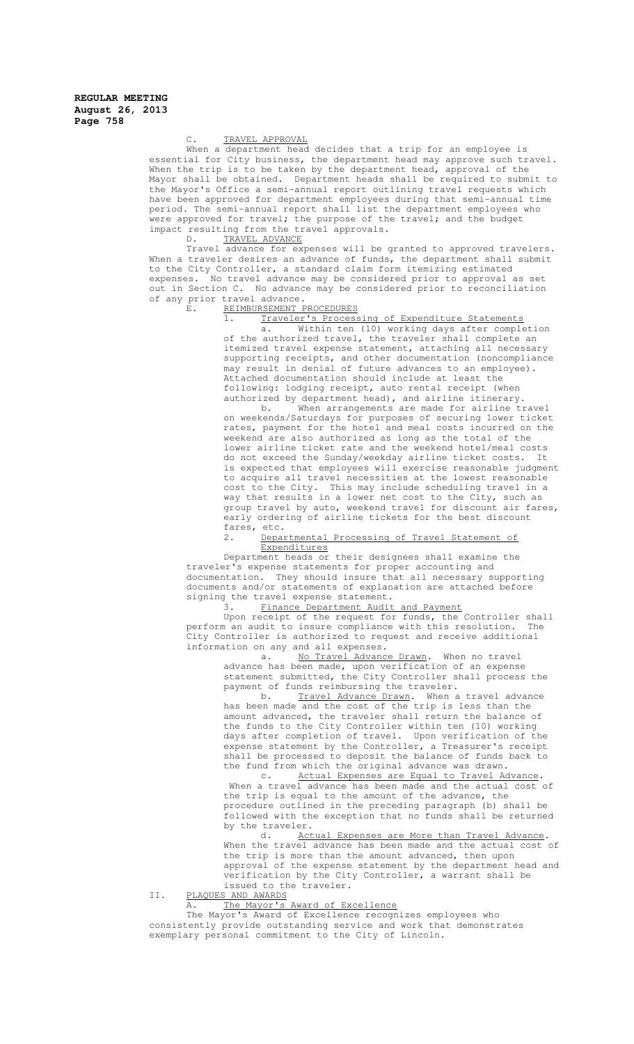# TRAVEL APPROVAL

When a department head decides that a trip for an employee is essential for City business, the department head may approve such travel. When the trip is to be taken by the department head, approval of the Mayor shall be obtained. Department heads shall be required to submit to the Mayor's Office a semi-annual report outlining travel requests which have been approved for department employees during that semi-annual time period. The semi-annual report shall list the department employees who were approved for travel; the purpose of the travel; and the budget impact resulting from the travel approvals.

D. TRAVEL ADVANCE

Travel advance for expenses will be granted to approved travelers. When a traveler desires an advance of funds, the department shall submit to the City Controller, a standard claim form itemizing estimated expenses. No travel advance may be considered prior to approval as set out in Section C. No advance may be considered prior to reconciliation of any prior travel advance.

E. REIMBURSEMENT PROCEDURES

1. Traveler's Processing of Expenditure Statements

a. Within ten (10) working days after completion of the authorized travel, the traveler shall complete an itemized travel expense statement, attaching all necessary supporting receipts, and other documentation (noncompliance may result in denial of future advances to an employee). Attached documentation should include at least the following: lodging receipt, auto rental receipt (when authorized by department head), and airline itinerary.

b. When arrangements are made for airline travel on weekends/Saturdays for purposes of securing lower ticket rates, payment for the hotel and meal costs incurred on the weekend are also authorized as long as the total of the lower airline ticket rate and the weekend hotel/meal costs do not exceed the Sunday/weekday airline ticket costs. It is expected that employees will exercise reasonable judgment to acquire all travel necessities at the lowest reasonable cost to the City. This may include scheduling travel in a way that results in a lower net cost to the City, such as group travel by auto, weekend travel for discount air fares, early ordering of airline tickets for the best discount fares, etc.

2. Departmental Processing of Travel Statement of **Expenditures** 

Department heads or their designees shall examine the traveler's expense statements for proper accounting and<br>documentation. They should insure that all necessary supporting documentation. They should insure that all necessary supporting documents and/or statements of explanation are attached before signing the travel expense statement.

# 3. Finance Department Audit and Payment

Upon receipt of the request for funds, the Controller shall<br>m an audit to insure compliance with this resolution. The perform an audit to insure compliance with this resolution. .<br>City Controller is authorized to request and receive additional information on any and all expenses.

a. No Travel Advance Drawn. When no travel advance has been made, upon verification of an expense statement submitted, the City Controller shall process the payment of funds reimbursing the traveler.

b. Travel Advance Drawn. When a travel advance has been made and the cost of the trip is less than the amount advanced, the traveler shall return the balance of the funds to the City Controller within ten (10) working days after completion of travel. Upon verification of the expense statement by the Controller, a Treasurer's receipt shall be processed to deposit the balance of funds back to the fund from which the original advance was drawn.

c. Actual Expenses are Equal to Travel Advance. When a travel advance has been made and the actual cost of the trip is equal to the amount of the advance, the procedure outlined in the preceding paragraph (b) shall be followed with the exception that no funds shall be returned by the traveler.<br>d. Act

Actual Expenses are More than Travel Advance. When the travel advance has been made and the actual cost of the trip is more than the amount advanced, then upon approval of the expense statement by the department head and verification by the City Controller, a warrant shall be issued to the traveler.

II. PLAQUES AND AWARDS

A. The Mayor's Award of Excellence

 The Mayor's Award of Excellence recognizes employees who consistently provide outstanding service and work that demonstrates exemplary personal commitment to the City of Lincoln.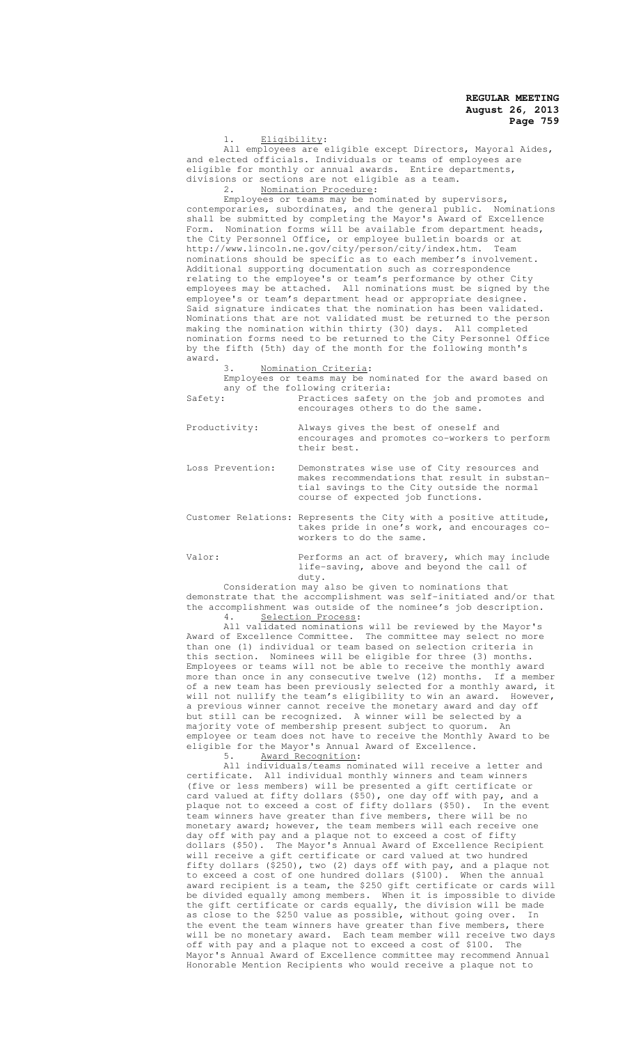Eligibility:

All employees are eligible except Directors, Mayoral Aides, and elected officials. Individuals or teams of employees are eligible for monthly or annual awards. Entire departments, divisions or sections are not eligible as a team.

2. Nomination Procedure:

Employees or teams may be nominated by supervisors, contemporaries, subordinates, and the general public. Nominations shall be submitted by completing the Mayor's Award of Excellence Form. Nomination forms will be available from department heads, the City Personnel Office, or employee bulletin boards or at http://www.lincoln.ne.gov/city/person/city/index.htm. Team nominations should be specific as to each member's involvement. Additional supporting documentation such as correspondence relating to the employee's or team's performance by other City employees may be attached. All nominations must be signed by the employee's or team's department head or appropriate designee Said signature indicates that the nomination has been validated. Nominations that are not validated must be returned to the person making the nomination within thirty (30) days. All completed nomination forms need to be returned to the City Personnel Office by the fifth (5th) day of the month for the following month's award.

3. Nomination Criteria:

Employees or teams may be nominated for the award based on any of the following criteria:<br>Safety: Practices safety Safety: Practices safety on the job and promotes and encourages others to do the same.

| Productivity:    | Always gives the best of oneself and<br>encourages and promotes co-workers to perform<br>their best.                                                                             |
|------------------|----------------------------------------------------------------------------------------------------------------------------------------------------------------------------------|
| Loss Prevention: | Demonstrates wise use of City resources and<br>makes recommendations that result in substan-<br>tial savings to the City outside the normal<br>course of expected job functions. |

Customer Relations: Represents the City with a positive attitude, takes pride in one's work, and encourages coworkers to do the same.

Valor: Performs an act of bravery, which may include life-saving, above and beyond the call of duty.

Consideration may also be given to nominations that

demonstrate that the accomplishment was self-initiated and/or that the accomplishment was outside of the nominee's job description. 4. Selection Process:

All validated nominations will be reviewed by the Mayor's Award of Excellence Committee. The committee may select no more than one (1) individual or team based on selection criteria in this section. Nominees will be eligible for three (3) months. Employees or teams will not be able to receive the monthly award more than once in any consecutive twelve (12) months. If a member of a new team has been previously selected for a monthly award, it will not nullify the team's eligibility to win an award. However, a previous winner cannot receive the monetary award and day off but still can be recognized. A winner will be selected by a majority vote of membership present subject to quorum. An employee or team does not have to receive the Monthly Award to be eligible for the Mayor's Annual Award of Excellence.

5. Award Recognition:

All individuals/teams nominated will receive a letter and certificate. All individual monthly winners and team winners (five or less members) will be presented a gift certificate or card valued at fifty dollars (\$50), one day off with pay, and a plaque not to exceed a cost of fifty dollars (\$50). In the event team winners have greater than five members, there will be no monetary award; however, the team members will each receive one day off with pay and a plaque not to exceed a cost of fifty dollars (\$50). The Mayor's Annual Award of Excellence Recipient will receive a gift certificate or card valued at two hundred fifty dollars (\$250), two (2) days off with pay, and a plaque not to exceed a cost of one hundred dollars (\$100). When the annual award recipient is a team, the \$250 gift certificate or cards will be divided equally among members. When it is impossible to divide the gift certificate or cards equally, the division will be made as close to the \$250 value as possible, without going over. In the event the team winners have greater than five members, there will be no monetary award. Each team member will receive two days off with pay and a plaque not to exceed a cost of \$100. The Mayor's Annual Award of Excellence committee may recommend Annual Honorable Mention Recipients who would receive a plaque not to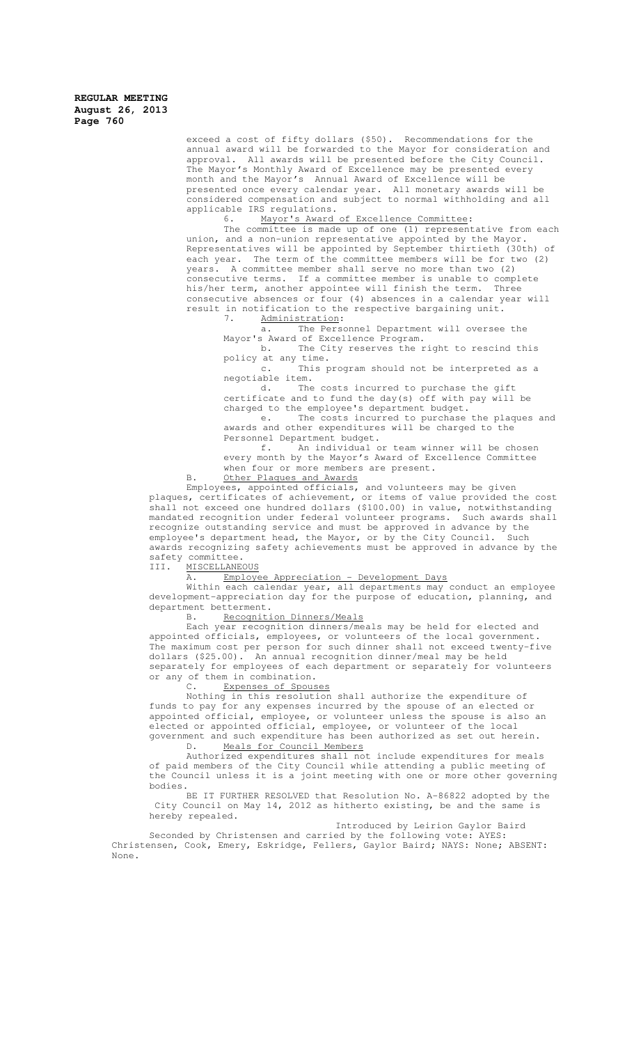> exceed a cost of fifty dollars (\$50). Recommendations for the annual award will be forwarded to the Mayor for consideration and approval. All awards will be presented before the City Council. The Mayor's Monthly Award of Excellence may be presented every month and the Mayor's Annual Award of Excellence will be presented once every calendar year. All monetary awards will be considered compensation and subject to normal withholding and all applicable IRS regulations.<br>6. Mayor's Award

Mayor's Award of Excellence Committee:

The committee is made up of one (1) representative from each union, and a non-union representative appointed by the Mayor. Representatives will be appointed by September thirtieth (30th) of each year. The term of the committee members will be for two (2) years. A committee member shall serve no more than two (2) consecutive terms. If a committee member is unable to complete his/her term, another appointee will finish the term. Three consecutive absences or four (4) absences in a calendar year will result in notification to the respective bargaining unit.

7. Administration:

a. The Personnel Department will oversee the Mayor's Award of Excellence Program.

b. The City reserves the right to rescind this policy at any time.

c. This program should not be interpreted as a negotiable item.

d. The costs incurred to purchase the gift certificate and to fund the day(s) off with pay will be charged to the employee's department budget.

e. The costs incurred to purchase the plaques and awards and other expenditures will be charged to the Personnel Department budget.

f. An individual or team winner will be chosen every month by the Mayor's Award of Excellence Committee when four or more members are present.

B. Other Plaques and Awards

Employees, appointed officials, and volunteers may be given plaques, certificates of achievement, or items of value provided the cost shall not exceed one hundred dollars (\$100.00) in value, notwithstanding mandated recognition under federal volunteer programs. Such awards shall recognize outstanding service and must be approved in advance by the employee's department head, the Mayor, or by the City Council. Such awards recognizing safety achievements must be approved in advance by the safety committee.<br>III. MISCELLANE

## MISCELLANEOUS

#### A. Employee Appreciation - Development Days

Within each calendar year, all departments may conduct an employee development-appreciation day for the purpose of education, planning, and department betterment.

B. Recognition Dinners/Meals

Each year recognition dinners/meals may be held for elected and appointed officials, employees, or volunteers of the local government. The maximum cost per person for such dinner shall not exceed twenty-five dollars (\$25.00). An annual recognition dinner/meal may be held separately for employees of each department or separately for volunteers or any of them in combination.

#### C. Expenses of Spouses

Nothing in this resolution shall authorize the expenditure of funds to pay for any expenses incurred by the spouse of an elected or appointed official, employee, or volunteer unless the spouse is also an elected or appointed official, employee, or volunteer of the local government and such expenditure has been authorized as set out herein.

D. Meals for Council Members

Authorized expenditures shall not include expenditures for meals of paid members of the City Council while attending a public meeting of the Council unless it is a joint meeting with one or more other governing bodies.

BE IT FURTHER RESOLVED that Resolution No. A-86822 adopted by the City Council on May 14, 2012 as hitherto existing, be and the same is hereby repealed.

Introduced by Leirion Gaylor Baird

Seconded by Christensen and carried by the following vote: AYES: Christensen, Cook, Emery, Eskridge, Fellers, Gaylor Baird; NAYS: None; ABSENT: None.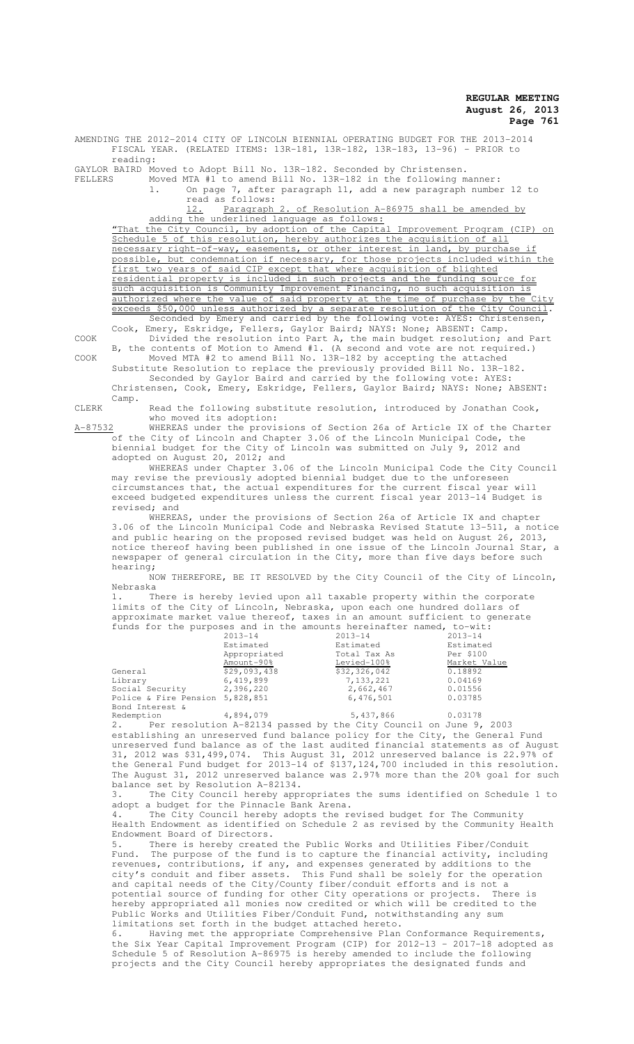AMENDING THE 2012-2014 CITY OF LINCOLN BIENNIAL OPERATING BUDGET FOR THE 2013-2014 FISCAL YEAR. (RELATED ITEMS: 13R-181, 13R-182, 13R-183, 13-96) - PRIOR to reading:

GAYLOR BAIRD Moved to Adopt Bill No. 13R-182. Seconded by Christensen.

FELLERS Moved MTA #1 to amend Bill No. 13R-182 in the following manner:

1. On page 7, after paragraph 11, add a new paragraph number 12 to read as follows:

12. Paragraph 2. of Resolution A-86975 shall be amended by adding the underlined language as follows:

"That the City Council, by adoption of the Capital Improvement Program (CIP) on Schedule 5 of this resolution, hereby authorizes the acquisition of all necessary right-of-way, easements, or other interest in land, by purchase possible, but condemnation if necessary, for those projects included within the first two years of said CIP except that where acquisition of blighted residential property is included in such projects and the funding source for such acquisition is Community Improvement Financing, no such acquisition is authorized where the value of said property at the time of purchase by the City exceeds \$50,000 unless authorized by a separate resolution of the City Council. Seconded by Emery and carried by the following vote: AYES: Christensen,

Cook, Emery, Eskridge, Fellers, Gaylor Baird; NAYS: None; ABSENT: Camp. COOK Divided the resolution into Part A, the main budget resolution; and Part

B, the contents of Motion to Amend #1. (A second and vote are not required.) COOK Moved MTA #2 to amend Bill No. 13R-182 by accepting the attached Substitute Resolution to replace the previously provided Bill No. 13R-182.

Seconded by Gaylor Baird and carried by the following vote: AYES: Christensen, Cook, Emery, Eskridge, Fellers, Gaylor Baird; NAYS: None; ABSENT: Camp.

CLERK  $R$  Read the following substitute resolution, introduced by Jonathan Cook, who moved its adoption:

A-87532 WHEREAS under the provisions of Section 26a of Article IX of the Charter of the City of Lincoln and Chapter 3.06 of the Lincoln Municipal Code, the biennial budget for the City of Lincoln was submitted on July 9, 2012 and adopted on August 20, 2012; and

WHEREAS under Chapter 3.06 of the Lincoln Municipal Code the City Council may revise the previously adopted biennial budget due to the unforeseen circumstances that, the actual expenditures for the current fiscal year will exceed budgeted expenditures unless the current fiscal year 2013-14 Budget is revised; and

WHEREAS, under the provisions of Section 26a of Article IX and chapter 3.06 of the Lincoln Municipal Code and Nebraska Revised Statute 13-511, a notice and public hearing on the proposed revised budget was held on August 26, 2013, notice thereof having been published in one issue of the Lincoln Journal Star, a newspaper of general circulation in the City, more than five days before such hearing;

NOW THEREFORE, BE IT RESOLVED by the City Council of the City of Lincoln, Nebraska

1. There is hereby levied upon all taxable property within the corporate limits of the City of Lincoln, Nebraska, upon each one hundred dollars of approximate market value thereof, taxes in an amount sufficient to generate funds for the purposes and in the amounts hereinafter named, to-wit:

|                                 | $2013 - 14$  | $2013 - 14$  | $2013 - 14$  |
|---------------------------------|--------------|--------------|--------------|
|                                 | Estimated    | Estimated    | Estimated    |
|                                 | Appropriated | Total Tax As | Per \$100    |
|                                 | Amount-90%   | Levied-100%  | Market Value |
| General                         | \$29,093,438 | \$32,326,042 | 0.18892      |
| Library                         | 6,419,899    | 7, 133, 221  | 0.04169      |
| Social Security                 | 2,396,220    | 2,662,467    | 0.01556      |
| Police & Fire Pension 5,828,851 |              | 6,476,501    | 0.03785      |
| Bond Interest &                 |              |              |              |
| Redemption                      | 4,894,079    | 5,437,866    | 0.03178      |

2. Per resolution A-82134 passed by the City Council on June 9, 2003 establishing an unreserved fund balance policy for the City, the General Fund unreserved fund balance as of the last audited financial statements as of August 31, 2012 was \$31,499,074. This August 31, 2012 unreserved balance is 22.97% of the General Fund budget for 2013-14 of \$137,124,700 included in this resolution. The August 31, 2012 unreserved balance was 2.97% more than the 20% goal for such balance set by Resolution A-82134.

3. The City Council hereby appropriates the sums identified on Schedule 1 to adopt a budget for the Pinnacle Bank Arena.

The City Council hereby adopts the revised budget for The Community Health Endowment as identified on Schedule 2 as revised by the Community Health Endowment Board of Directors.<br>5. There is hereby created

5. There is hereby created the Public Works and Utilities Fiber/Conduit Fund. The purpose of the fund is to capture the financial activity, including revenues, contributions, if any, and expenses generated by additions to the city's conduit and fiber assets. This Fund shall be solely for the operation and capital needs of the City/County fiber/conduit efforts and is not a potential source of funding for other City operations or projects. There is hereby appropriated all monies now credited or which will be credited to the Public Works and Utilities Fiber/Conduit Fund, notwithstanding any sum limitations set forth in the budget attached hereto.

6. Having met the appropriate Comprehensive Plan Conformance Requirements, the Six Year Capital Improvement Program (CIP) for 2012-13 – 2017-18 adopted as Schedule 5 of Resolution A-86975 is hereby amended to include the following projects and the City Council hereby appropriates the designated funds and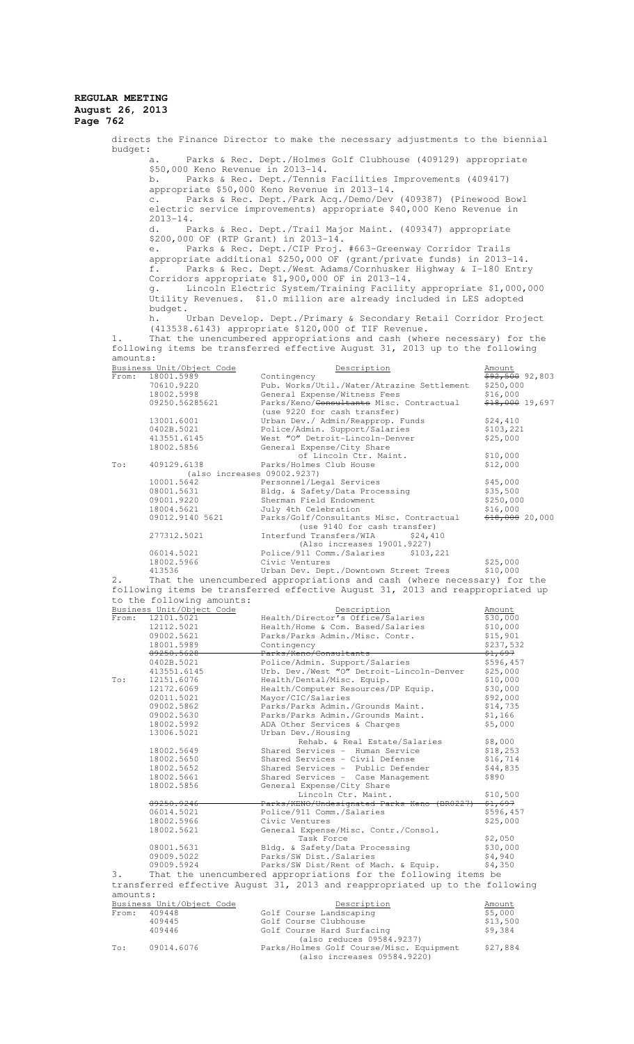| budget:                                                                      |                                                                                                                                                                                                    | directs the Finance Director to make the necessary adjustments to the biennial                                                                            |                                 |  |  |
|------------------------------------------------------------------------------|----------------------------------------------------------------------------------------------------------------------------------------------------------------------------------------------------|-----------------------------------------------------------------------------------------------------------------------------------------------------------|---------------------------------|--|--|
| Parks & Rec. Dept./Holmes Golf Clubhouse (409129) appropriate<br>а.          |                                                                                                                                                                                                    |                                                                                                                                                           |                                 |  |  |
|                                                                              | \$50,000 Keno Revenue in 2013-14.<br>Parks & Rec. Dept./Tennis Facilities Improvements (409417)<br>b.<br>appropriate \$50,000 Keno Revenue in 2013-14.                                             |                                                                                                                                                           |                                 |  |  |
|                                                                              | Parks & Rec. Dept./Park Acq./Demo/Dev (409387) (Pinewood Bowl<br>$\circ$ .<br>electric service improvements) appropriate \$40,000 Keno Revenue in                                                  |                                                                                                                                                           |                                 |  |  |
|                                                                              | $2013 - 14$ .<br>d.                                                                                                                                                                                | Parks & Rec. Dept./Trail Major Maint. (409347) appropriate                                                                                                |                                 |  |  |
|                                                                              | \$200,000 OF (RTP Grant) in 2013-14.<br>e.                                                                                                                                                         | Parks & Rec. Dept./CIP Proj. #663-Greenway Corridor Trails                                                                                                |                                 |  |  |
|                                                                              | appropriate additional \$250,000 OF (grant/private funds) in 2013-14.<br>f.<br>Parks & Rec. Dept./West Adams/Cornhusker Highway & I-180 Entry                                                      |                                                                                                                                                           |                                 |  |  |
|                                                                              | Corridors appropriate \$1,900,000 OF in 2013-14.<br>Lincoln Electric System/Training Facility appropriate \$1,000,000<br>q.<br>Utility Revenues. \$1.0 million are already included in LES adopted |                                                                                                                                                           |                                 |  |  |
|                                                                              | budget.<br>h.<br>Urban Develop. Dept./Primary & Secondary Retail Corridor Project<br>(413538.6143) appropriate \$120,000 of TIF Revenue.                                                           |                                                                                                                                                           |                                 |  |  |
| 1.<br>amounts:                                                               |                                                                                                                                                                                                    | That the unencumbered appropriations and cash (where necessary) for the<br>following items be transferred effective August 31, 2013 up to the following   |                                 |  |  |
|                                                                              | Business Unit/Object Code                                                                                                                                                                          | Description                                                                                                                                               | Amount                          |  |  |
| From:                                                                        | 18001.5989                                                                                                                                                                                         | Contingency                                                                                                                                               | <del>\$92,500</del> 92,803      |  |  |
|                                                                              | 70610.9220<br>18002.5998                                                                                                                                                                           | Pub. Works/Util./Water/Atrazine Settlement<br>General Expense/Witness Fees                                                                                | \$250,000<br>\$16,000           |  |  |
|                                                                              | 09250.56285621                                                                                                                                                                                     | Parks/Keno/ <del>Consultants</del> Misc. Contractual                                                                                                      | <del>\$18,000</del> 19,697      |  |  |
|                                                                              |                                                                                                                                                                                                    | (use 9220 for cash transfer)                                                                                                                              |                                 |  |  |
|                                                                              | 13001.6001                                                                                                                                                                                         | Urban Dev./ Admin/Reapprop. Funds                                                                                                                         | \$24,410                        |  |  |
|                                                                              | 0402B.5021                                                                                                                                                                                         | Police/Admin. Support/Salaries                                                                                                                            | \$103,221                       |  |  |
|                                                                              | 413551.6145<br>18002.5856                                                                                                                                                                          | West "O" Detroit-Lincoln-Denver<br>General Expense/City Share                                                                                             | \$25,000                        |  |  |
|                                                                              |                                                                                                                                                                                                    | of Lincoln Ctr. Maint.                                                                                                                                    | \$10,000                        |  |  |
| To:                                                                          | 409129.6138                                                                                                                                                                                        | Parks/Holmes Club House                                                                                                                                   | \$12,000                        |  |  |
|                                                                              | (also increases 09002.9237)                                                                                                                                                                        |                                                                                                                                                           |                                 |  |  |
|                                                                              | 10001.5642                                                                                                                                                                                         | Personnel/Legal Services                                                                                                                                  | \$45,000                        |  |  |
|                                                                              | 08001.5631                                                                                                                                                                                         | Bldg. & Safety/Data Processing                                                                                                                            | \$35,500                        |  |  |
|                                                                              | 09001.9220<br>18004.5621                                                                                                                                                                           | Sherman Field Endowment<br>July 4th Celebration                                                                                                           | \$250,000<br>\$16,000           |  |  |
|                                                                              | 09012.9140 5621                                                                                                                                                                                    | Parks/Golf/Consultants Misc. Contractual                                                                                                                  | <del>\$18,000</del> 20,000      |  |  |
|                                                                              | 277312.5021                                                                                                                                                                                        | (use 9140 for cash transfer)<br>Interfund Transfers/WIA<br>\$24,410                                                                                       |                                 |  |  |
|                                                                              | 06014.5021                                                                                                                                                                                         | (Also increases 19001.9227)<br>Police/911 Comm./Salaries \$103,221                                                                                        |                                 |  |  |
|                                                                              | 18002.5966<br>413536                                                                                                                                                                               | Civic Ventures<br>Urban Dev. Dept./Downtown Street Trees                                                                                                  | \$25,000<br>\$10,000            |  |  |
| 2.                                                                           |                                                                                                                                                                                                    | That the unencumbered appropriations and cash (where necessary) for the<br>following items be transferred effective August 31, 2013 and reappropriated up |                                 |  |  |
|                                                                              | to the following amounts:                                                                                                                                                                          |                                                                                                                                                           |                                 |  |  |
|                                                                              | Business Unit/Object Code                                                                                                                                                                          | Description                                                                                                                                               | Amount                          |  |  |
| From:                                                                        | 12101.5021                                                                                                                                                                                         | Health/Director's Office/Salaries                                                                                                                         | \$30,000                        |  |  |
|                                                                              | 12112.5021                                                                                                                                                                                         | Health/Home & Com. Based/Salaries                                                                                                                         | \$10,000                        |  |  |
|                                                                              | 09002.5621                                                                                                                                                                                         | Parks/Parks Admin./Misc. Contr.                                                                                                                           | \$15,901                        |  |  |
|                                                                              | 18001.5989                                                                                                                                                                                         | Contingency<br>Parks/Keno/Consultants                                                                                                                     | \$237,532                       |  |  |
|                                                                              | 09250.5628<br>0402B.5021                                                                                                                                                                           | Police/Admin. Support/Salaries                                                                                                                            | <del>\$1,697</del><br>\$596,457 |  |  |
|                                                                              | 413551.6145                                                                                                                                                                                        | Urb. Dev./West "O" Detroit-Lincoln-Denver                                                                                                                 | \$25,000                        |  |  |
| To:                                                                          | 12151.6076                                                                                                                                                                                         | Health/Dental/Misc. Equip.                                                                                                                                | \$10,000                        |  |  |
|                                                                              | 12172.6069                                                                                                                                                                                         | Health/Computer Resources/DP Equip.                                                                                                                       | \$30,000                        |  |  |
|                                                                              | 02011.5021                                                                                                                                                                                         | Mayor/CIC/Salaries                                                                                                                                        | \$92,000                        |  |  |
|                                                                              | 09002.5862<br>09002.5630                                                                                                                                                                           | Parks/Parks Admin./Grounds Maint.<br>Parks/Parks Admin./Grounds Maint.                                                                                    | \$14,735<br>\$1,166             |  |  |
|                                                                              | 18002.5992                                                                                                                                                                                         | ADA Other Services & Charges                                                                                                                              | \$5,000                         |  |  |
|                                                                              | 13006.5021                                                                                                                                                                                         | Urban Dev./Housing                                                                                                                                        |                                 |  |  |
|                                                                              |                                                                                                                                                                                                    | Rehab. & Real Estate/Salaries                                                                                                                             | \$8,000                         |  |  |
|                                                                              | 18002.5649                                                                                                                                                                                         | Shared Services - Human Service                                                                                                                           | \$18,253                        |  |  |
|                                                                              | 18002.5650                                                                                                                                                                                         | Shared Services - Civil Defense                                                                                                                           | \$16,714                        |  |  |
|                                                                              | 18002.5652<br>18002.5661                                                                                                                                                                           | Shared Services - Public Defender<br>Shared Services - Case Management                                                                                    | \$44,835<br>\$890               |  |  |
|                                                                              | 18002.5856                                                                                                                                                                                         | General Expense/City Share                                                                                                                                |                                 |  |  |
|                                                                              |                                                                                                                                                                                                    | Lincoln Ctr. Maint.                                                                                                                                       | \$10,500                        |  |  |
|                                                                              | <del>09250.9246</del>                                                                                                                                                                              | Parks/KENO/Undesignated Parks Keno (BR0227)                                                                                                               | <del>\$1,697</del>              |  |  |
|                                                                              | 06014.5021                                                                                                                                                                                         | Police/911 Comm./Salaries<br>Civic Ventures                                                                                                               | \$596,457                       |  |  |
|                                                                              | 18002.5966<br>18002.5621                                                                                                                                                                           | General Expense/Misc. Contr./Consol.                                                                                                                      | \$25,000                        |  |  |
|                                                                              |                                                                                                                                                                                                    | Task Force                                                                                                                                                | \$2,050                         |  |  |
|                                                                              | 08001.5631                                                                                                                                                                                         | Bldg. & Safety/Data Processing                                                                                                                            | \$30,000                        |  |  |
|                                                                              | 09009.5022                                                                                                                                                                                         | Parks/SW Dist./Salaries                                                                                                                                   | \$4,940                         |  |  |
|                                                                              | 09009.5924                                                                                                                                                                                         | Parks/SW Dist/Rent of Mach. & Equip.                                                                                                                      | \$4,350                         |  |  |
| з.                                                                           |                                                                                                                                                                                                    | That the unencumbered appropriations for the following items be                                                                                           |                                 |  |  |
| transferred effective August 31, 2013 and reappropriated up to the following |                                                                                                                                                                                                    |                                                                                                                                                           |                                 |  |  |
| amounts:<br>Business Unit/Object Code                                        |                                                                                                                                                                                                    |                                                                                                                                                           |                                 |  |  |
| From:                                                                        | 409448                                                                                                                                                                                             | Description<br>Golf Course Landscaping                                                                                                                    | Amount<br>\$5,000               |  |  |
|                                                                              | 409445                                                                                                                                                                                             | Golf Course Clubhouse                                                                                                                                     | \$13,500                        |  |  |
|                                                                              | 409446                                                                                                                                                                                             | Golf Course Hard Surfacing                                                                                                                                | \$9,384                         |  |  |
|                                                                              |                                                                                                                                                                                                    | (also reduces 09584.9237)                                                                                                                                 |                                 |  |  |
| To:                                                                          | 09014.6076                                                                                                                                                                                         | Parks/Holmes Golf Course/Misc. Equipment<br>(also increases 09584.9220)                                                                                   | \$27,884                        |  |  |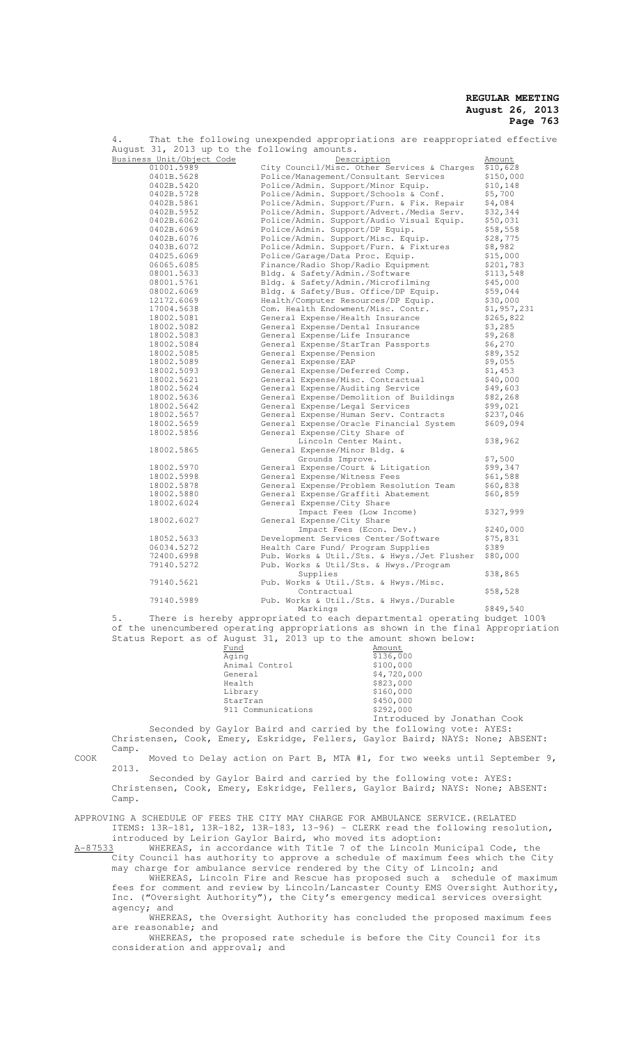| 4.                                           | That the following unexpended appropriations are reappropriated effective        |             |
|----------------------------------------------|----------------------------------------------------------------------------------|-------------|
| August 31, 2013 up to the following amounts. |                                                                                  |             |
| Business Unit/Object Code                    | Description                                                                      | Amount      |
| 01001.5989                                   | City Council/Misc. Other Services & Charges                                      | \$10,628    |
| 0401B.5628                                   | Police/Management/Consultant Services                                            | \$150,000   |
| 0402B.5420                                   | Police/Admin. Support/Minor Equip.                                               | \$10, 148   |
| 0402B.5728                                   | Police/Admin. Support/Schools & Conf.                                            | \$5,700     |
| 0402B.5861                                   | Police/Admin. Support/Furn. & Fix. Repair                                        | \$4,084     |
| 0402B.5952                                   | Police/Admin. Support/Advert./Media Serv.                                        | \$32,344    |
| 0402B.6062                                   | Police/Admin. Support/Audio Visual Equip.                                        | \$50,031    |
| 0402B.6069                                   | Police/Admin. Support/DP Equip.                                                  | \$58,558    |
| 0402B.6076                                   | Police/Admin. Support/Misc. Equip.                                               | \$28,775    |
| 0403B.6072                                   | Police/Admin. Support/Furn. & Fixtures                                           | \$8,982     |
| 04025.6069                                   | Police/Garage/Data Proc. Equip.                                                  | \$15,000    |
| 06065.6085                                   | Finance/Radio Shop/Radio Equipment                                               | \$201,783   |
| 08001.5633                                   | Bldg. & Safety/Admin./Software                                                   | \$113,548   |
| 08001.5761                                   |                                                                                  | \$45,000    |
| 08002.6069                                   | Bldg. & Safety/Admin./Microfilming                                               |             |
|                                              | Bldg. & Safety/Bus. Office/DP Equip.                                             | \$59,044    |
| 12172.6069                                   | Health/Computer Resources/DP Equip.                                              | \$30,000    |
| 17004.5638                                   | Com. Health Endowment/Misc. Contr.                                               | \$1,957,231 |
| 18002.5081                                   | General Expense/Health Insurance                                                 | \$265,822   |
| 18002.5082                                   | General Expense/Dental Insurance                                                 | \$3,285     |
| 18002.5083                                   | General Expense/Life Insurance                                                   | \$9,268     |
| 18002.5084                                   | General Expense/StarTran Passports                                               | \$6,270     |
| 18002.5085                                   | General Expense/Pension                                                          | \$89,352    |
| 18002.5089                                   | General Expense/EAP                                                              | \$9,055     |
| 18002.5093                                   | General Expense/Deferred Comp.                                                   | \$1,453     |
| 18002.5621                                   | General Expense/Misc. Contractual                                                | \$40,000    |
| 18002.5624                                   | General Expense/Auditing Service                                                 | \$49,603    |
| 18002.5636                                   | General Expense/Demolition of Buildings                                          | \$82,268    |
| 18002.5642                                   | General Expense/Legal Services                                                   | \$99,021    |
| 18002.5657                                   | General Expense/Human Serv. Contracts                                            | \$237,046   |
| 18002.5659                                   | General Expense/Oracle Financial System                                          | \$609,094   |
| 18002.5856                                   | General Expense/City Share of                                                    |             |
|                                              | Lincoln Center Maint.                                                            | \$38,962    |
| 18002.5865                                   | General Expense/Minor Bldg. &                                                    |             |
|                                              | Grounds Improve.                                                                 | \$7,500     |
| 18002.5970                                   | General Expense/Court & Litigation                                               | \$99,347    |
| 18002.5998                                   | General Expense/Witness Fees                                                     | \$61,588    |
| 18002.5878                                   | General Expense/Problem Resolution Team                                          | \$60,838    |
| 18002.5880                                   | General Expense/Graffiti Abatement                                               | \$60,859    |
| 18002.6024                                   | General Expense/City Share                                                       |             |
|                                              | Impact Fees (Low Income)                                                         | \$327,999   |
| 18002.6027                                   | General Expense/City Share                                                       |             |
|                                              |                                                                                  | \$240,000   |
| 18052.5633                                   | Impact Fees (Econ. Dev.)                                                         |             |
|                                              | Development Services Center/Software                                             | \$75,831    |
| 06034.5272                                   | Health Care Fund/ Program Supplies                                               | \$389       |
| 72400.6998                                   | Pub. Works & Util./Sts. & Hwys./Jet Flusher                                      | \$80,000    |
| 79140.5272                                   | Pub. Works & Util/Sts. & Hwys./Program                                           |             |
|                                              | Supplies                                                                         | \$38,865    |
| 79140.5621                                   | Pub. Works & Util./Sts. & Hwys./Misc.                                            |             |
|                                              | Contractual                                                                      | \$58,528    |
| 79140.5989                                   | Pub. Works & Util./Sts. & Hwys./Durable                                          |             |
|                                              | Markings                                                                         | \$849,540   |
| 5.                                           | There is hereby appropriated to each departmental operating budget 100%          |             |
|                                              | of the unencumbered operating appropriations as shown in the final Appropriation |             |
|                                              | Status Report as of August 31, 2013 up to the amount shown below:                |             |
|                                              |                                                                                  |             |

| Fund               | Amount                      |
|--------------------|-----------------------------|
| Aqinq              | \$136,000                   |
| Animal Control     | \$100,000                   |
| General            | \$4,720,000                 |
| Health             | \$823,000                   |
| Library            | \$160,000                   |
| StarTran           | \$450,000                   |
| 911 Communications | \$292,000                   |
|                    | Introduced by Jonathan Cook |

Seconded by Gaylor Baird and carried by the following vote: AYES: Christensen, Cook, Emery, Eskridge, Fellers, Gaylor Baird; NAYS: None; ABSENT: Camp.

COOK Moved to Delay action on Part B, MTA #1, for two weeks until September 9, 2013. Seconded by Gaylor Baird and carried by the following vote: AYES:

Christensen, Cook, Emery, Eskridge, Fellers, Gaylor Baird; NAYS: None; ABSENT: Camp.

APPROVING A SCHEDULE OF FEES THE CITY MAY CHARGE FOR AMBULANCE SERVICE.(RELATED ITEMS: 13R-181, 13R-182, 13R-183, 13-96) - CLERK read the following resolution,

introduced by Leirion Gaylor Baird, who moved its adoption:

A-87533 WHEREAS, in accordance with Title 7 of the Lincoln Municipal Code, the City Council has authority to approve a schedule of maximum fees which the City may charge for ambulance service rendered by the City of Lincoln; and

WHEREAS, Lincoln Fire and Rescue has proposed such a schedule of maximum fees for comment and review by Lincoln/Lancaster County EMS Oversight Authority, Inc. ("Oversight Authority"), the City's emergency medical services oversight agency; and

WHEREAS, the Oversight Authority has concluded the proposed maximum fees are reasonable; and

WHEREAS, the proposed rate schedule is before the City Council for its consideration and approval; and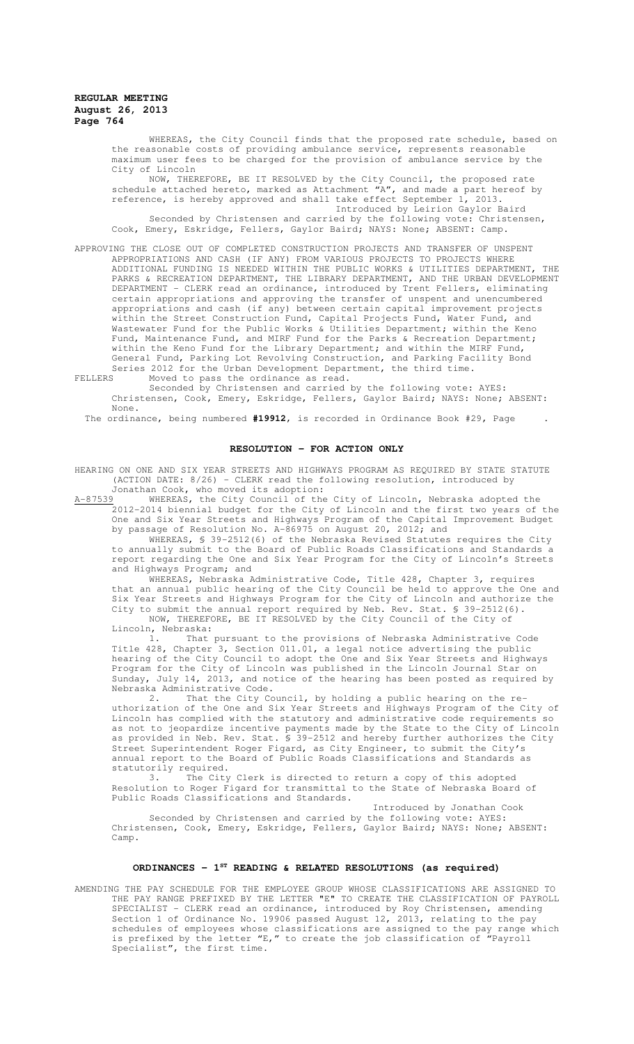WHEREAS, the City Council finds that the proposed rate schedule, based on the reasonable costs of providing ambulance service, represents reasonable maximum user fees to be charged for the provision of ambulance service by the City of Lincoln

NOW, THEREFORE, BE IT RESOLVED by the City Council, the proposed rate schedule attached hereto, marked as Attachment "A", and made a part hereof by reference, is hereby approved and shall take effect September 1, 2013. Introduced by Leirion Gaylor Baird

Seconded by Christensen and carried by the following vote: Christensen, Cook, Emery, Eskridge, Fellers, Gaylor Baird; NAYS: None; ABSENT: Camp.

APPROVING THE CLOSE OUT OF COMPLETED CONSTRUCTION PROJECTS AND TRANSFER OF UNSPENT APPROPRIATIONS AND CASH (IF ANY) FROM VARIOUS PROJECTS TO PROJECTS WHERE ADDITIONAL FUNDING IS NEEDED WITHIN THE PUBLIC WORKS & UTILITIES DEPARTMENT, THE PARKS & RECREATION DEPARTMENT, THE LIBRARY DEPARTMENT, AND THE URBAN DEVELOPMENT DEPARTMENT - CLERK read an ordinance, introduced by Trent Fellers, eliminating certain appropriations and approving the transfer of unspent and unencumbered appropriations and cash (if any) between certain capital improvement projects within the Street Construction Fund, Capital Projects Fund, Water Fund, and Wastewater Fund for the Public Works & Utilities Department; within the Keno Fund, Maintenance Fund, and MIRF Fund for the Parks & Recreation Department; within the Keno Fund for the Library Department; and within the MIRF Fund, General Fund, Parking Lot Revolving Construction, and Parking Facility Bond Series 2012 for the Urban Development Department, the third time.

FELLERS Moved to pass the ordinance as read.

Seconded by Christensen and carried by the following vote: AYES: Christensen, Cook, Emery, Eskridge, Fellers, Gaylor Baird; NAYS: None; ABSENT: None.

The ordinance, being numbered **#19912**, is recorded in Ordinance Book #29, Page .

#### **RESOLUTION - FOR ACTION ONLY**

HEARING ON ONE AND SIX YEAR STREETS AND HIGHWAYS PROGRAM AS REQUIRED BY STATE STATUTE (ACTION DATE: 8/26) - CLERK read the following resolution, introduced by

Jonathan Cook, who moved its adoption:<br>
WHEREAS, the City Council of the City of Lincoln, Nebraska adopted the A-87539 WHEREAS, the City Council of the City of Lincoln, Nebraska adopted the 2012-2014 biennial budget for the City of Lincoln and the first two years of the One and Six Year Streets and Highways Program of the Capital Improvement Budget by passage of Resolution No. A-86975 on August 20, 2012; and

WHEREAS, § 39-2512(6) of the Nebraska Revised Statutes requires the City to annually submit to the Board of Public Roads Classifications and Standards a report regarding the One and Six Year Program for the City of Lincoln's Streets and Highways Program; and

WHEREAS, Nebraska Administrative Code, Title 428, Chapter 3, requires that an annual public hearing of the City Council be held to approve the One and Six Year Streets and Highways Program for the City of Lincoln and authorize the City to submit the annual report required by Neb. Rev. Stat. \$ 39-2512(6). NOW, THEREFORE, BE IT RESOLVED by the City Council of the City of

Lincoln, Nebraska:

1. That pursuant to the provisions of Nebraska Administrative Code Title 428, Chapter 3, Section 011.01, a legal notice advertising the public hearing of the City Council to adopt the One and Six Year Streets and Highways Program for the City of Lincoln was published in the Lincoln Journal Star on Sunday, July 14, 2013, and notice of the hearing has been posted as required by Nebraska Administrative Code.

2. That the City Council, by holding a public hearing on the reuthorization of the One and Six Year Streets and Highways Program of the City of Lincoln has complied with the statutory and administrative code requirements so as not to jeopardize incentive payments made by the State to the City of Lincoln as provided in Neb. Rev. Stat. § 39-2512 and hereby further authorizes the City Street Superintendent Roger Figard, as City Engineer, to submit the City's annual report to the Board of Public Roads Classifications and Standards as statutorily required.

3. The City Clerk is directed to return a copy of this adopted Resolution to Roger Figard for transmittal to the State of Nebraska Board of Public Roads Classifications and Standards.

Introduced by Jonathan Cook Seconded by Christensen and carried by the following vote: AYES: Christensen, Cook, Emery, Eskridge, Fellers, Gaylor Baird; NAYS: None; ABSENT: Camp.

# **ORDINANCES - 1ST READING & RELATED RESOLUTIONS (as required)**

AMENDING THE PAY SCHEDULE FOR THE EMPLOYEE GROUP WHOSE CLASSIFICATIONS ARE ASSIGNED TO THE PAY RANGE PREFIXED BY THE LETTER "E" TO CREATE THE CLASSIFICATION OF PAYROLL SPECIALIST - CLERK read an ordinance, introduced by Roy Christensen, amending Section 1 of Ordinance No. 19906 passed August 12, 2013, relating to the pay schedules of employees whose classifications are assigned to the pay range which is prefixed by the letter "E," to create the job classification of "Payroll Specialist", the first time.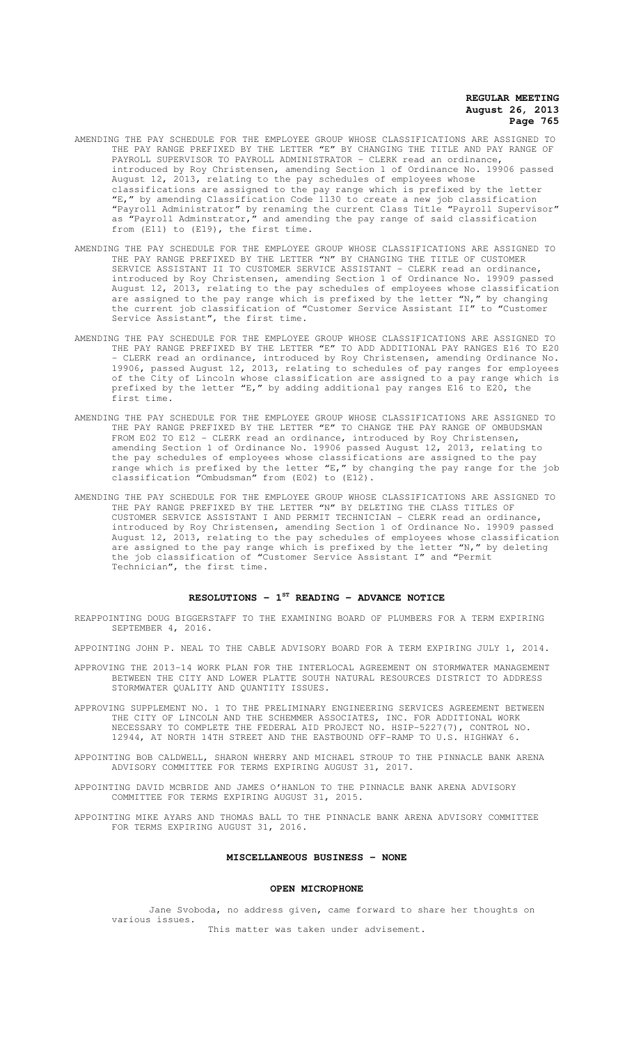- AMENDING THE PAY SCHEDULE FOR THE EMPLOYEE GROUP WHOSE CLASSIFICATIONS ARE ASSIGNED TO THE PAY RANGE PREFIXED BY THE LETTER "E" BY CHANGING THE TITLE AND PAY RANGE OF PAYROLL SUPERVISOR TO PAYROLL ADMINISTRATOR - CLERK read an ordinance, introduced by Roy Christensen, amending Section 1 of Ordinance No. 19906 passed August 12, 2013, relating to the pay schedules of employees whose classifications are assigned to the pay range which is prefixed by the letter "E," by amending Classification Code 1130 to create a new job classification "Payroll Administrator" by renaming the current Class Title "Payroll Supervisor" as "Payroll Adminstrator," and amending the pay range of said classification from (E11) to (E19), the first time.
- AMENDING THE PAY SCHEDULE FOR THE EMPLOYEE GROUP WHOSE CLASSIFICATIONS ARE ASSIGNED TO THE PAY RANGE PREFIXED BY THE LETTER "N" BY CHANGING THE TITLE OF CUSTOMER SERVICE ASSISTANT II TO CUSTOMER SERVICE ASSISTANT - CLERK read an ordinance, introduced by Roy Christensen, amending Section 1 of Ordinance No. 19909 passed August 12, 2013, relating to the pay schedules of employees whose classification are assigned to the pay range which is prefixed by the letter "N," by changing the current job classification of "Customer Service Assistant II" to "Customer Service Assistant", the first time.
- AMENDING THE PAY SCHEDULE FOR THE EMPLOYEE GROUP WHOSE CLASSIFICATIONS ARE ASSIGNED TO THE PAY RANGE PREFIXED BY THE LETTER "E" TO ADD ADDITIONAL PAY RANGES E16 TO E20 CLERK read an ordinance, introduced by Roy Christensen, amending Ordinance No. 19906, passed August 12, 2013, relating to schedules of pay ranges for employees of the City of Lincoln whose classification are assigned to a pay range which is prefixed by the letter "E," by adding additional pay ranges E16 to E20, the first time.
- AMENDING THE PAY SCHEDULE FOR THE EMPLOYEE GROUP WHOSE CLASSIFICATIONS ARE ASSIGNED TO THE PAY RANGE PREFIXED BY THE LETTER "E" TO CHANGE THE PAY RANGE OF OMBUDSMAN FROM E02 TO E12 - CLERK read an ordinance, introduced by Roy Christensen, amending Section 1 of Ordinance No. 19906 passed August 12, 2013, relating to the pay schedules of employees whose classifications are assigned to the pay range which is prefixed by the letter "E," by changing the pay range for the job classification "Ombudsman" from (E02) to (E12).
- AMENDING THE PAY SCHEDULE FOR THE EMPLOYEE GROUP WHOSE CLASSIFICATIONS ARE ASSIGNED TO THE PAY RANGE PREFIXED BY THE LETTER "N" BY DELETING THE CLASS TITLES OF CUSTOMER SERVICE ASSISTANT I AND PERMIT TECHNICIAN - CLERK read an ordinance, introduced by Roy Christensen, amending Section 1 of Ordinance No. 19909 passed August 12, 2013, relating to the pay schedules of employees whose classification are assigned to the pay range which is prefixed by the letter "N," by deleting the job classification of "Customer Service Assistant I" and "Permit Technician", the first time.

## **RESOLUTIONS - 1ST READING - ADVANCE NOTICE**

REAPPOINTING DOUG BIGGERSTAFF TO THE EXAMINING BOARD OF PLUMBERS FOR A TERM EXPIRING ..<br>SEPTEMBER 4, 2016.

APPOINTING JOHN P. NEAL TO THE CABLE ADVISORY BOARD FOR A TERM EXPIRING JULY 1, 2014.

- APPROVING THE 2013-14 WORK PLAN FOR THE INTERLOCAL AGREEMENT ON STORMWATER MANAGEMENT BETWEEN THE CITY AND LOWER PLATTE SOUTH NATURAL RESOURCES DISTRICT TO ADDRESS STORMWATER QUALITY AND QUANTITY ISSUES.
- APPROVING SUPPLEMENT NO. 1 TO THE PRELIMINARY ENGINEERING SERVICES AGREEMENT BETWEEN THE CITY OF LINCOLN AND THE SCHEMMER ASSOCIATES, INC. FOR ADDITIONAL WORK NECESSARY TO COMPLETE THE FEDERAL AID PROJECT NO. HSIP-5227(7), CONTROL NO. 12944, AT NORTH 14TH STREET AND THE EASTBOUND OFF-RAMP TO U.S. HIGHWAY 6.

APPOINTING BOB CALDWELL, SHARON WHERRY AND MICHAEL STROUP TO THE PINNACLE BANK ARENA ADVISORY COMMITTEE FOR TERMS EXPIRING AUGUST 31, 2017.

APPOINTING DAVID MCBRIDE AND JAMES O'HANLON TO THE PINNACLE BANK ARENA ADVISORY COMMITTEE FOR TERMS EXPIRING AUGUST 31, 2015.

APPOINTING MIKE AYARS AND THOMAS BALL TO THE PINNACLE BANK ARENA ADVISORY COMMITTEE FOR TERMS EXPIRING AUGUST 31, 2016.

## **MISCELLANEOUS BUSINESS - NONE**

#### **OPEN MICROPHONE**

Jane Svoboda, no address given, came forward to share her thoughts on various issues. This matter was taken under advisement.